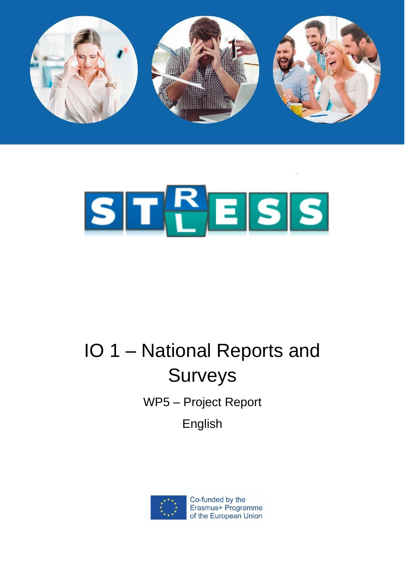



# IO 1 – National Reports and **Surveys**

WP5 – Project Report

English



Co-funded by the Erasmus+ Programme of the European Union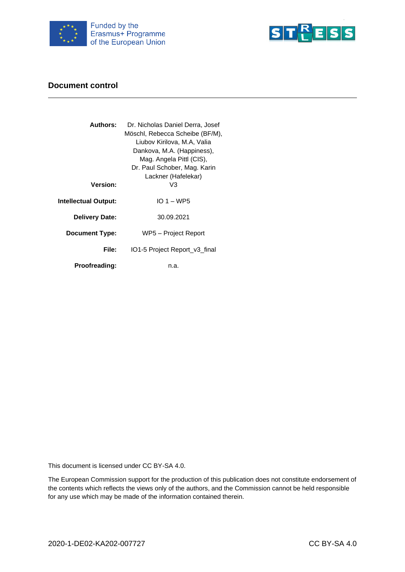



#### **Document control**

| <b>Authors:</b>       | Dr. Nicholas Daniel Derra, Josef |
|-----------------------|----------------------------------|
|                       | Möschl, Rebecca Scheibe (BF/M),  |
|                       | Liubov Kirilova, M.A, Valia      |
|                       | Dankova, M.A. (Happiness),       |
|                       | Mag. Angela Pittl (CIS),         |
|                       | Dr. Paul Schober, Mag. Karin     |
|                       | Lackner (Hafelekar)              |
| <b>Version:</b>       | VЗ                               |
|                       | $IO 1 - WPS$                     |
| Intellectual Output:  |                                  |
| <b>Delivery Date:</b> | 30.09.2021                       |
|                       |                                  |
| <b>Document Type:</b> | WP5 – Project Report             |
| File:                 | IO1-5 Project Report_v3_final    |
|                       |                                  |
| <b>Proofreading:</b>  | n.a.                             |
|                       |                                  |

This document is licensed under CC BY-SA 4.0.

The European Commission support for the production of this publication does not constitute endorsement of the contents which reflects the views only of the authors, and the Commission cannot be held responsible for any use which may be made of the information contained therein.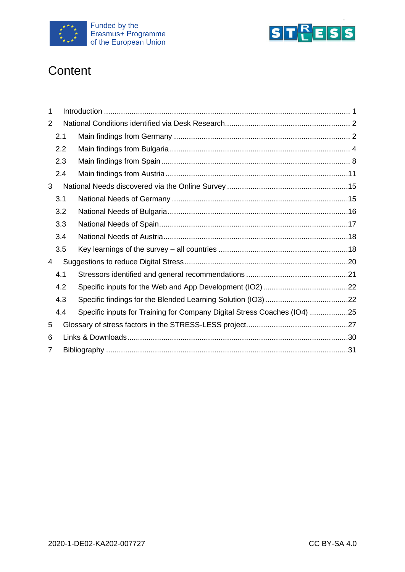



## **Content**

| 1 |     |                                                                          |  |  |
|---|-----|--------------------------------------------------------------------------|--|--|
| 2 |     |                                                                          |  |  |
|   | 2.1 |                                                                          |  |  |
|   | 2.2 |                                                                          |  |  |
|   | 2.3 |                                                                          |  |  |
|   | 2.4 |                                                                          |  |  |
| 3 |     |                                                                          |  |  |
|   | 3.1 |                                                                          |  |  |
|   | 3.2 |                                                                          |  |  |
|   | 3.3 |                                                                          |  |  |
|   | 3.4 |                                                                          |  |  |
|   | 3.5 |                                                                          |  |  |
| 4 |     |                                                                          |  |  |
|   | 4.1 |                                                                          |  |  |
|   | 4.2 |                                                                          |  |  |
|   | 4.3 |                                                                          |  |  |
|   | 4.4 | Specific inputs for Training for Company Digital Stress Coaches (IO4) 25 |  |  |
| 5 |     |                                                                          |  |  |
| 6 |     |                                                                          |  |  |
| 7 |     |                                                                          |  |  |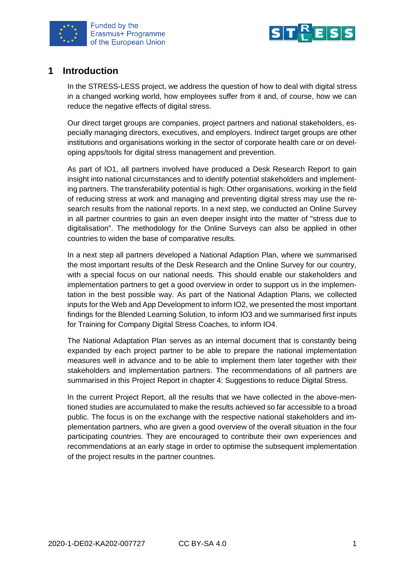



## <span id="page-3-0"></span>**1 Introduction**

In the STRESS-LESS project, we address the question of how to deal with digital stress in a changed working world, how employees suffer from it and, of course, how we can reduce the negative effects of digital stress.

Our direct target groups are companies, project partners and national stakeholders, especially managing directors, executives, and employers. Indirect target groups are other institutions and organisations working in the sector of corporate health care or on developing apps/tools for digital stress management and prevention.

As part of IO1, all partners involved have produced a Desk Research Report to gain insight into national circumstances and to identify potential stakeholders and implementing partners. The transferability potential is high: Other organisations, working in the field of reducing stress at work and managing and preventing digital stress may use the research results from the national reports. In a next step, we conducted an Online Survey in all partner countries to gain an even deeper insight into the matter of "stress due to digitalisation". The methodology for the Online Surveys can also be applied in other countries to widen the base of comparative results.

In a next step all partners developed a National Adaption Plan, where we summarised the most important results of the Desk Research and the Online Survey for our country, with a special focus on our national needs. This should enable our stakeholders and implementation partners to get a good overview in order to support us in the implementation in the best possible way. As part of the National Adaption Plans, we collected inputs for the Web and App Development to inform IO2, we presented the most important findings for the Blended Learning Solution, to inform IO3 and we summarised first inputs for Training for Company Digital Stress Coaches, to inform IO4.

The National Adaptation Plan serves as an internal document that is constantly being expanded by each project partner to be able to prepare the national implementation measures well in advance and to be able to implement them later together with their stakeholders and implementation partners. The recommendations of all partners are summarised in this Project Report in chapter 4: Suggestions to reduce Digital Stress.

In the current Project Report, all the results that we have collected in the above-mentioned studies are accumulated to make the results achieved so far accessible to a broad public. The focus is on the exchange with the respective national stakeholders and implementation partners, who are given a good overview of the overall situation in the four participating countries. They are encouraged to contribute their own experiences and recommendations at an early stage in order to optimise the subsequent implementation of the project results in the partner countries.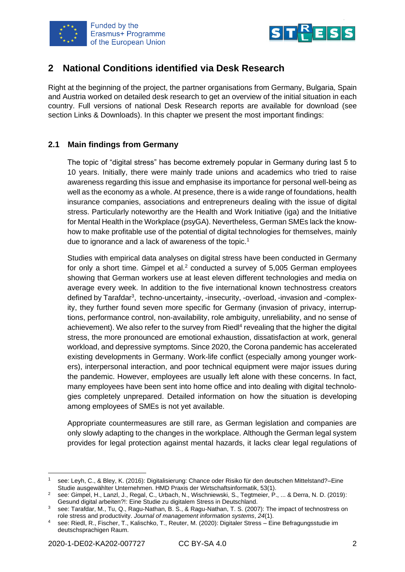



## <span id="page-4-0"></span>**2 National Conditions identified via Desk Research**

Right at the beginning of the project, the partner organisations from Germany, Bulgaria, Spain and Austria worked on detailed desk research to get an overview of the initial situation in each country. Full versions of national Desk Research reports are available for download (see section Links & Downloads). In this chapter we present the most important findings:

#### <span id="page-4-1"></span>**2.1 Main findings from Germany**

The topic of "digital stress" has become extremely popular in Germany during last 5 to 10 years. Initially, there were mainly trade unions and academics who tried to raise awareness regarding this issue and emphasise its importance for personal well-being as well as the economy as a whole. At presence, there is a wide range of foundations, health insurance companies, associations and entrepreneurs dealing with the issue of digital stress. Particularly noteworthy are the Health and Work Initiative (iga) and the Initiative for Mental Health in the Workplace (psyGA). Nevertheless, German SMEs lack the knowhow to make profitable use of the potential of digital technologies for themselves, mainly due to ignorance and a lack of awareness of the topic.<sup>1</sup>

Studies with empirical data analyses on digital stress have been conducted in Germany for only a short time. Gimpel et al. $<sup>2</sup>$  conducted a survey of 5,005 German employees</sup> showing that German workers use at least eleven different technologies and media on average every week. In addition to the five international known technostress creators defined by Tarafdar<sup>3</sup>, techno-uncertainty, -insecurity, -overload, -invasion and -complexity, they further found seven more specific for Germany (invasion of privacy, interruptions, performance control, non-availability, role ambiguity, unreliability, and no sense of achievement). We also refer to the survey from Riedl<sup>4</sup> revealing that the higher the digital stress, the more pronounced are emotional exhaustion, dissatisfaction at work, general workload, and depressive symptoms. Since 2020, the Corona pandemic has accelerated existing developments in Germany. Work-life conflict (especially among younger workers), interpersonal interaction, and poor technical equipment were major issues during the pandemic. However, employees are usually left alone with these concerns. In fact, many employees have been sent into home office and into dealing with digital technologies completely unprepared. Detailed information on how the situation is developing among employees of SMEs is not yet available.

Appropriate countermeasures are still rare, as German legislation and companies are only slowly adapting to the changes in the workplace. Although the German legal system provides for legal protection against mental hazards, it lacks clear legal regulations of

<sup>1</sup> see: Leyh, C., & Bley, K. (2016): Digitalisierung: Chance oder Risiko für den deutschen Mittelstand?–Eine Studie ausgewählter Unternehmen. HMD Praxis der Wirtschaftsinformatik, 53(1).

<sup>2</sup> see: Gimpel, H., Lanzl, J., Regal, C., Urbach, N., Wischniewski, S., Tegtmeier, P., ... & Derra, N. D. (2019): Gesund digital arbeiten?!: Eine Studie zu digitalem Stress in Deutschland.

<sup>3</sup> see: Tarafdar, M., Tu, Q., Ragu-Nathan, B. S., & Ragu-Nathan, T. S. (2007): The impact of technostress on role stress and productivity. *Journal of management information systems*, *24*(1).

<sup>4</sup> see: Riedl, R., Fischer, T., Kalischko, T., Reuter, M. (2020): Digitaler Stress – Eine Befragungsstudie im deutschsprachigen Raum.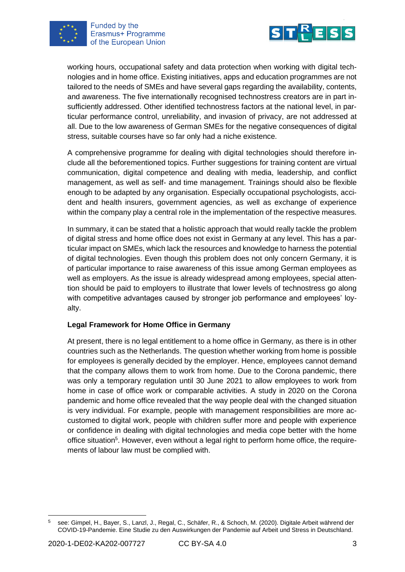



working hours, occupational safety and data protection when working with digital technologies and in home office. Existing initiatives, apps and education programmes are not tailored to the needs of SMEs and have several gaps regarding the availability, contents, and awareness. The five internationally recognised technostress creators are in part insufficiently addressed. Other identified technostress factors at the national level, in particular performance control, unreliability, and invasion of privacy, are not addressed at all. Due to the low awareness of German SMEs for the negative consequences of digital stress, suitable courses have so far only had a niche existence.

A comprehensive programme for dealing with digital technologies should therefore include all the beforementioned topics. Further suggestions for training content are virtual communication, digital competence and dealing with media, leadership, and conflict management, as well as self- and time management. Trainings should also be flexible enough to be adapted by any organisation. Especially occupational psychologists, accident and health insurers, government agencies, as well as exchange of experience within the company play a central role in the implementation of the respective measures.

In summary, it can be stated that a holistic approach that would really tackle the problem of digital stress and home office does not exist in Germany at any level. This has a particular impact on SMEs, which lack the resources and knowledge to harness the potential of digital technologies. Even though this problem does not only concern Germany, it is of particular importance to raise awareness of this issue among German employees as well as employers. As the issue is already widespread among employees, special attention should be paid to employers to illustrate that lower levels of technostress go along with competitive advantages caused by stronger job performance and employees' loyalty.

#### **Legal Framework for Home Office in Germany**

At present, there is no legal entitlement to a home office in Germany, as there is in other countries such as the Netherlands. The question whether working from home is possible for employees is generally decided by the employer. Hence, employees cannot demand that the company allows them to work from home. Due to the Corona pandemic, there was only a temporary regulation until 30 June 2021 to allow employees to work from home in case of office work or comparable activities. A study in 2020 on the Corona pandemic and home office revealed that the way people deal with the changed situation is very individual. For example, people with management responsibilities are more accustomed to digital work, people with children suffer more and people with experience or confidence in dealing with digital technologies and media cope better with the home office situation<sup>5</sup>. However, even without a legal right to perform home office, the requirements of labour law must be complied with.

<sup>5</sup> see: Gimpel, H., Bayer, S., Lanzl, J., Regal, C., Schäfer, R., & Schoch, M. (2020). Digitale Arbeit während der COVID-19-Pandemie. Eine Studie zu den Auswirkungen der Pandemie auf Arbeit und Stress in Deutschland.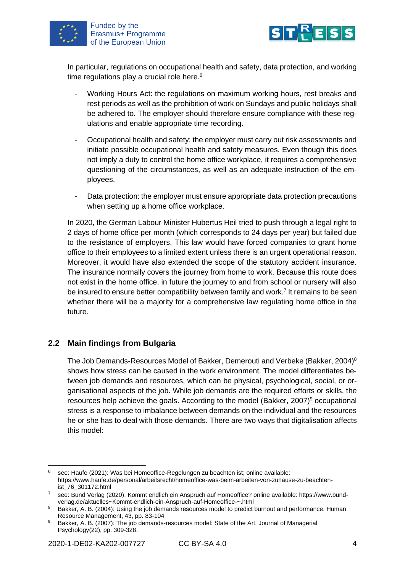



In particular, regulations on occupational health and safety, data protection, and working time regulations play a crucial role here. $6$ 

- Working Hours Act: the regulations on maximum working hours, rest breaks and rest periods as well as the prohibition of work on Sundays and public holidays shall be adhered to. The employer should therefore ensure compliance with these regulations and enable appropriate time recording.
- Occupational health and safety: the employer must carry out risk assessments and initiate possible occupational health and safety measures. Even though this does not imply a duty to control the home office workplace, it requires a comprehensive questioning of the circumstances, as well as an adequate instruction of the employees.
- Data protection: the employer must ensure appropriate data protection precautions when setting up a home office workplace.

In 2020, the German Labour Minister Hubertus Heil tried to push through a legal right to 2 days of home office per month (which corresponds to 24 days per year) but failed due to the resistance of employers. This law would have forced companies to grant home office to their employees to a limited extent unless there is an urgent operational reason. Moreover, it would have also extended the scope of the statutory accident insurance. The insurance normally covers the journey from home to work. Because this route does not exist in the home office, in future the journey to and from school or nursery will also be insured to ensure better compatibility between family and work.<sup>7</sup> It remains to be seen whether there will be a majority for a comprehensive law regulating home office in the future.

#### <span id="page-6-0"></span>**2.2 Main findings from Bulgaria**

The Job Demands-Resources Model of Bakker, Demerouti and Verbeke (Bakker, 2004)<sup>8</sup> shows how stress can be caused in the work environment. The model differentiates between job demands and resources, which can be physical, psychological, social, or organisational aspects of the job. While job demands are the required efforts or skills, the resources help achieve the goals. According to the model (Bakker, 2007)<sup>9</sup> occupational stress is a response to imbalance between demands on the individual and the resources he or she has to deal with those demands. There are two ways that digitalisation affects this model:

 $6$  see: Haufe (2021): Was bei Homeoffice-Regelungen zu beachten ist; online available: https://www.haufe.de/personal/arbeitsrecht/homeoffice-was-beim-arbeiten-von-zuhause-zu-beachtenist\_76\_301172.html

<sup>7</sup> see: Bund Verlag (2020): Kommt endlich ein Anspruch auf Homeoffice? online available: https://www.bundverlag.de/aktuelles~Kommt-endlich-ein-Anspruch-auf-Homeoffice-~.html

<sup>8</sup> Bakker, A. B. (2004): Using the job demands resources model to predict burnout and performance. Human Resource Management, 43, pp. 83-104

<sup>9</sup> Bakker, A. B. (2007): The job demands-resources model: State of the Art. Journal of Managerial Psychology(22), pp. 309-328.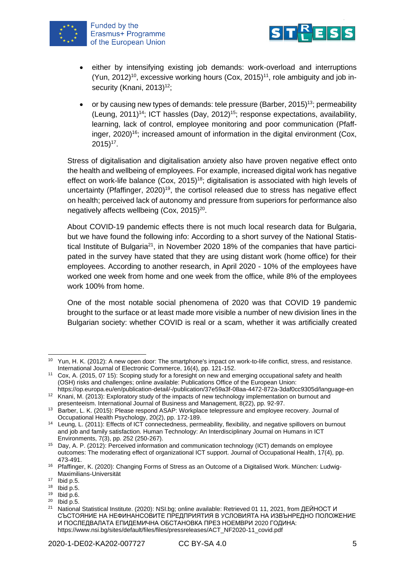

Funded by the Erasmus+ Programme of the European Union



- either by intensifying existing job demands: work-overload and interruptions (Yun, 2012)<sup>10</sup>, excessive working hours (Cox, 2015)<sup>11</sup>, role ambiguity and job insecurity (Knani, 2013)<sup>12</sup>;
- or by causing new types of demands: tele pressure (Barber, 2015)<sup>13</sup>; permeability (Leung, 2011)<sup>14</sup>; ICT hassles (Day, 2012)<sup>15</sup>; response expectations, availability, learning, lack of control, employee monitoring and poor communication (Pfaffinger,  $2020$ <sup>16</sup>; increased amount of information in the digital environment (Cox,  $2015)^{17}$ .

Stress of digitalisation and digitalisation anxiety also have proven negative effect onto the health and wellbeing of employees. For example, increased digital work has negative effect on work-life balance (Cox, 2015)<sup>18</sup>; digitalisation is associated with high levels of uncertainty (Pfaffinger,  $2020$ <sup>19</sup>, the cortisol released due to stress has negative effect on health; perceived lack of autonomy and pressure from superiors for performance also negatively affects wellbeing (Cox, 2015)<sup>20</sup>.

About COVID-19 pandemic effects there is not much local research data for Bulgaria, but we have found the following info: According to a short survey of the National Statistical Institute of Bulgaria<sup>21</sup>, in November 2020 18% of the companies that have participated in the survey have stated that they are using distant work (home office) for their employees. According to another research, in April 2020 - 10% of the employees have worked one week from home and one week from the office, while 8% of the employees work 100% from home.

One of the most notable social phenomena of 2020 was that COVID 19 pandemic brought to the surface or at least made more visible a number of new division lines in the Bulgarian society: whether COVID is real or a scam, whether it was artificially created

 $^{20}$  Ibid p.5.

<sup>&</sup>lt;sup>10</sup> Yun, H. K. (2012): A new open door: The smartphone's impact on work-to-life conflict, stress, and resistance. International Journal of Electronic Commerce, 16(4), pp. 121-152.

<sup>&</sup>lt;sup>11</sup> Cox, A. (2015, 07 15): Scoping study for a foresight on new and emerging occupational safety and health (OSH) risks and challenges; online available: Publications Office of the European Union:

https://op.europa.eu/en/publication-detail/-/publication/37e59a3f-08aa-4472-872a-3daf0cc9305d/language-en <sup>12</sup> Knani, M. (2013): Exploratory study of the impacts of new technology implementation on burnout and

presenteeism. International Journal of Business and Management, 8(22), pp. 92-97. <sup>13</sup> Barber, L. K. (2015): Please respond ASAP: Workplace telepressure and employee recovery. Journal of Occupational Health Psychology, 20(2), pp. 172-189.

<sup>14</sup> Leung, L. (2011): Effects of ICT connectedness, permeability, flexibility, and negative spillovers on burnout and job and family satisfaction. Human Technology: An Interdisciplinary Journal on Humans in ICT Environments, 7(3), pp. 252 (250-267).

<sup>15</sup> Day, A. P. (2012): Perceived information and communication technology (ICT) demands on employee outcomes: The moderating effect of organizational ICT support. Journal of Occupational Health, 17(4), pp. 473-491.

<sup>16</sup> Pfaffinger, K. (2020): Changing Forms of Stress as an Outcome of a Digitalised Work. München: Ludwig-Maximilians-Universität

 $17$  Ibid p.5.

 $18$  Ibid p.5.

<sup>19</sup> Ibid p.6.

National Statistical Institute. (2020): NSI.bg; online available: Retrieved 01 11, 2021, from ДЕЙНОСТ И СЪСТОЯНИЕ НА НЕФИНАНСОВИТЕ ПРЕДПРИЯТИЯ В УСЛОВИЯТА НА ИЗВЪНРЕДНО ПОЛОЖЕНИЕ И ПОСЛЕДВАЛАТА ЕПИДЕМИЧНА ОБСТАНОВКА ПРЕЗ НОЕМВРИ 2020 ГОДИНА: https://www.nsi.bg/sites/default/files/files/pressreleases/ACT\_NF2020-11\_covid.pdf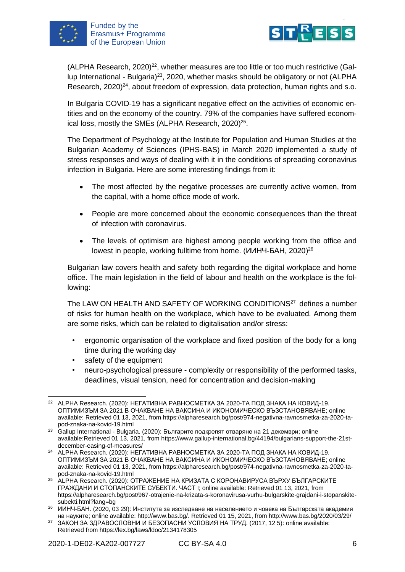



(ALPHA Research,  $2020)^{22}$ , whether measures are too little or too much restrictive (Gallup International - Bulgaria)<sup>23</sup>, 2020, whether masks should be obligatory or not (ALPHA Research, 2020)<sup>24</sup>, about freedom of expression, data protection, human rights and s.o.

In Bulgaria COVID-19 has a significant negative effect on the activities of economic entities and on the economy of the country. 79% of the companies have suffered economical loss, mostly the SMEs (ALPHA Research, 2020)<sup>25</sup>.

The Department of Psychology at the Institute for Population and Human Studies at the Bulgarian Academy of Sciences (IPHS-BAS) in March 2020 implemented a study of stress responses and ways of dealing with it in the conditions of spreading coronavirus infection in Bulgaria. Here are some interesting findings from it:

- The most affected by the negative processes are currently active women, from the capital, with a home office mode of work.
- People are more concerned about the economic consequences than the threat of infection with coronavirus.
- The levels of optimism are highest among people working from the office and lowest in people, working fulltime from home. (ИИНЧ-БАН, 2020)<sup>26</sup>

Bulgarian law covers health and safety both regarding the digital workplace and home office. The main legislation in the field of labour and health on the workplace is the following:

The LAW ON HEALTH AND SAFETY OF WORKING CONDITIONS<sup>27</sup> defines a number of risks for human health on the workplace, which have to be evaluated. Among them are some risks, which can be related to digitalisation and/or stress:

- ergonomic organisation of the workplace and fixed position of the body for a long time during the working day
- safety of the equipment
- neuro-psychological pressure complexity or responsibility of the performed tasks, deadlines, visual tension, need for concentration and decision-making

<sup>&</sup>lt;sup>22</sup> ALPHA Research. (2020): НЕГАТИВНА РАВНОСМЕТКА ЗА 2020-ТА ПОД ЗНАКА НА КОВИД-19. ОПТИМИЗЪМ ЗА 2021 В ОЧАКВАНЕ НА ВАКСИНА И ИКОНОМИЧЕСКО ВЪЗСТАНОВЯВАНЕ; online available: Retrieved 01 13, 2021, from https://alpharesearch.bg/post/974-negativna-ravnosmetka-za-2020-tapod-znaka-na-kovid-19.html

<sup>23</sup> Gallup International - Bulgaria. (2020): Българите подкрепят отваряне на 21 декември; online available:Retrieved 01 13, 2021, from https://www.gallup-international.bg/44194/bulgarians-support-the-21stdecember-easing-of-measures/

<sup>&</sup>lt;sup>24</sup> ALPHA Research. (2020): НЕГАТИВНА РАВНОСМЕТКА ЗА 2020-ТА ПОД ЗНАКА НА КОВИД-19. ОПТИМИЗЪМ ЗА 2021 В ОЧАКВАНЕ НА ВАКСИНА И ИКОНОМИЧЕСКО ВЪЗСТАНОВЯВАНЕ; online available: Retrieved 01 13, 2021, from https://alpharesearch.bg/post/974-negativna-ravnosmetka-za-2020-tapod-znaka-na-kovid-19.html

<sup>25</sup> ALPHA Research. (2020): ОТРАЖЕНИЕ НА КРИЗАТА С КОРОНАВИРУСА ВЪРХУ БЪЛГАРСКИТЕ ГРАЖДАНИ И СТОПАНСКИТЕ СУБЕКТИ. ЧАСТ I; online available: Retrieved 01 13, 2021, from https://alpharesearch.bg/post/967-otrajenie-na-krizata-s-koronavirusa-vurhu-bulgarskite-grajdani-i-stopanskitesubekti.html?lang=bg

<sup>&</sup>lt;sup>26</sup> ИИНЧ-БАН. (2020, 03 29): Института за изследване на населението и човека на Българската академия на науките; online available: http://www.bas.bg/. Retrieved 01 15, 2021, from http://www.bas.bg/2020/03/29/

<sup>&</sup>lt;sup>27</sup> ЗАКОН ЗА ЗДРАВОСЛОВНИ И БЕЗОПАСНИ УСЛОВИЯ НА ТРУД. (2017, 12 5): online available: Retrieved from https://lex.bg/laws/ldoc/2134178305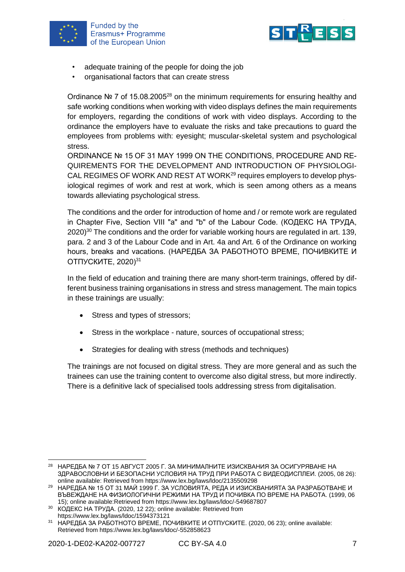



- adequate training of the people for doing the job
- organisational factors that can create stress

Ordinance № 7 of 15.08.2005<sup>28</sup> on the minimum requirements for ensuring healthy and safe working conditions when working with video displays defines the main requirements for employers, regarding the conditions of work with video displays. According to the ordinance the employers have to evaluate the risks and take precautions to guard the employees from problems with: eyesight; muscular-skeletal system and psychological stress.

ORDINANCE № 15 OF 31 MAY 1999 ON THE CONDITIONS, PROCEDURE AND RE-QUIREMENTS FOR THE DEVELOPMENT AND INTRODUCTION OF PHYSIOLOGI-CAL REGIMES OF WORK AND REST AT WORK<sup>29</sup> requires employers to develop physiological regimes of work and rest at work, which is seen among others as a means towards alleviating psychological stress.

The conditions and the order for introduction of home and / or remote work are regulated in Chapter Five, Section VIII "a" and "b" of the Labour Code. (КОДЕКС НА ТРУДА, 2020)<sup>30</sup> The conditions and the order for variable working hours are regulated in art. 139, para. 2 and 3 of the Labour Code and in Art. 4a and Art. 6 of the Ordinance on working hours, breaks and vacations. (НАРЕДБА ЗА РАБОТНОТО ВРЕМЕ, ПОЧИВКИТЕ И ОТПУСКИТЕ, 2020)<sup>31</sup>

In the field of education and training there are many short-term trainings, offered by different business training organisations in stress and stress management. The main topics in these trainings are usually:

- Stress and types of stressors;
- Stress in the workplace nature, sources of occupational stress;
- Strategies for dealing with stress (methods and techniques)

The trainings are not focused on digital stress. They are more general and as such the trainees can use the training content to overcome also digital stress, but more indirectly. There is a definitive lack of specialised tools addressing stress from digitalisation.

<sup>28</sup> НАРЕДБА № 7 ОТ 15 АВГУСТ 2005 Г. ЗА МИНИМАЛНИТЕ ИЗИСКВАНИЯ ЗА ОСИГУРЯВАНЕ НА ЗДРАВОСЛОВНИ И БЕЗОПАСНИ УСЛОВИЯ НА ТРУД ПРИ РАБОТА С ВИДЕОДИСПЛЕИ. (2005, 08 26): online available: Retrieved from https://www.lex.bg/laws/ldoc/2135509298

<sup>29</sup> НАРЕДБА № 15 ОТ 31 МАЙ 1999 Г. ЗА УСЛОВИЯТА, РЕДА И ИЗИСКВАНИЯТА ЗА РАЗРАБОТВАНЕ И ВЪВЕЖДАНЕ НА ФИЗИОЛОГИЧНИ РЕЖИМИ НА ТРУД И ПОЧИВКА ПО ВРЕМЕ НА РАБОТА. (1999, 06 15); online available:Retrieved from https://www.lex.bg/laws/ldoc/-549687807

<sup>30</sup> КОДЕКС НА ТРУДА. (2020, 12 22); online available: Retrieved from https://www.lex.bg/laws/ldoc/1594373121

<sup>&</sup>lt;sup>31</sup> НАРЕДБА ЗА РАБОТНОТО ВРЕМЕ, ПОЧИВКИТЕ И ОТПУСКИТЕ. (2020, 06 23); online available: Retrieved from https://www.lex.bg/laws/ldoc/-552858623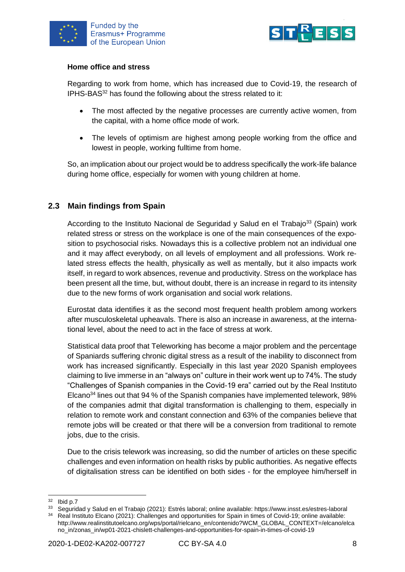



#### **Home office and stress**

Regarding to work from home, which has increased due to Covid-19, the research of IPHS-BAS<sup>32</sup> has found the following about the stress related to it:

- The most affected by the negative processes are currently active women, from the capital, with a home office mode of work.
- The levels of optimism are highest among people working from the office and lowest in people, working fulltime from home.

So, an implication about our project would be to address specifically the work-life balance during home office, especially for women with young children at home.

#### <span id="page-10-0"></span>**2.3 Main findings from Spain**

According to the Instituto Nacional de Seguridad y Salud en el Trabajo<sup>33</sup> (Spain) work related stress or stress on the workplace is one of the main consequences of the exposition to psychosocial risks. Nowadays this is a collective problem not an individual one and it may affect everybody, on all levels of employment and all professions. Work related stress effects the health, physically as well as mentally, but it also impacts work itself, in regard to work absences, revenue and productivity. Stress on the workplace has been present all the time, but, without doubt, there is an increase in regard to its intensity due to the new forms of work organisation and social work relations.

Eurostat data identifies it as the second most frequent health problem among workers after musculoskeletal upheavals. There is also an increase in awareness, at the international level, about the need to act in the face of stress at work.

Statistical data proof that Teleworking has become a major problem and the percentage of Spaniards suffering chronic digital stress as a result of the inability to disconnect from work has increased significantly. Especially in this last year 2020 Spanish employees claiming to live immerse in an "always on" culture in their work went up to 74%. The study "Challenges of Spanish companies in the Covid-19 era" carried out by the Real Instituto Elcano<sup>34</sup> lines out that 94 % of the Spanish companies have implemented telework, 98% of the companies admit that digital transformation is challenging to them, especially in relation to remote work and constant connection and 63% of the companies believe that remote jobs will be created or that there will be a conversion from traditional to remote jobs, due to the crisis.

Due to the crisis telework was increasing, so did the number of articles on these specific challenges and even information on health risks by public authorities. As negative effects of digitalisation stress can be identified on both sides - for the employee him/herself in

 $32$  Ibid p.7

<sup>33</sup> Seguridad y Salud en el Trabajo (2021): Estrés laboral; online available: https://www.insst.es/estres-laboral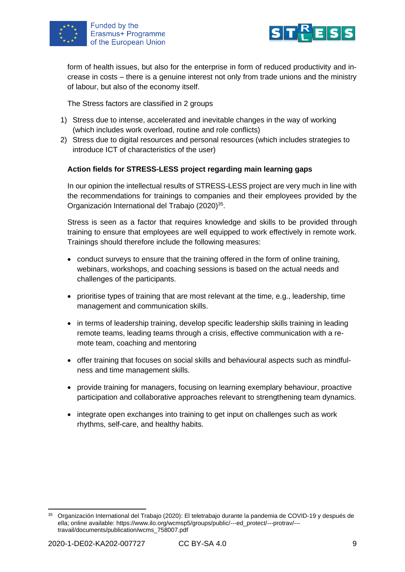



form of health issues, but also for the enterprise in form of reduced productivity and increase in costs – there is a genuine interest not only from trade unions and the ministry of labour, but also of the economy itself.

The Stress factors are classified in 2 groups

- 1) Stress due to intense, accelerated and inevitable changes in the way of working (which includes work overload, routine and role conflicts)
- 2) Stress due to digital resources and personal resources (which includes strategies to introduce ICT of characteristics of the user)

#### **Action fields for STRESS-LESS project regarding main learning gaps**

In our opinion the intellectual results of STRESS-LESS project are very much in line with the recommendations for trainings to companies and their employees provided by the Organización International del Trabajo (2020)<sup>35</sup>.

Stress is seen as a factor that requires knowledge and skills to be provided through training to ensure that employees are well equipped to work effectively in remote work. Trainings should therefore include the following measures:

- conduct surveys to ensure that the training offered in the form of online training, webinars, workshops, and coaching sessions is based on the actual needs and challenges of the participants.
- prioritise types of training that are most relevant at the time, e.g., leadership, time management and communication skills.
- in terms of leadership training, develop specific leadership skills training in leading remote teams, leading teams through a crisis, effective communication with a remote team, coaching and mentoring
- offer training that focuses on social skills and behavioural aspects such as mindfulness and time management skills.
- provide training for managers, focusing on learning exemplary behaviour, proactive participation and collaborative approaches relevant to strengthening team dynamics.
- integrate open exchanges into training to get input on challenges such as work rhythms, self-care, and healthy habits.

<sup>35</sup> Organización International del Trabajo (2020): El teletrabajo durante la pandemia de COVID-19 y después de ella; online available: https://www.ilo.org/wcmsp5/groups/public/---ed\_protect/---protrav/-- travail/documents/publication/wcms\_758007.pdf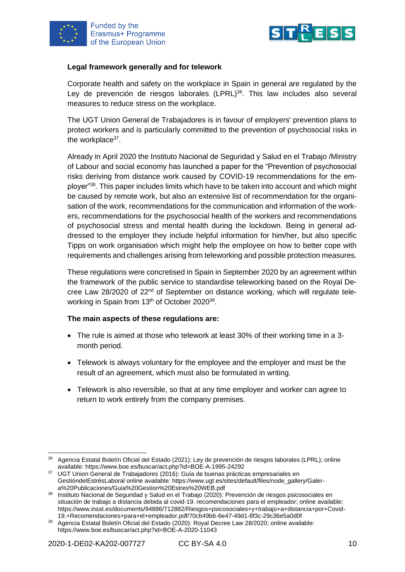



#### **Legal framework generally and for telework**

Corporate health and safety on the workplace in Spain in general are regulated by the Ley de prevención de riesgos laborales (LPRL)<sup>36</sup>. This law includes also several measures to reduce stress on the workplace.

The UGT Union General de Trabajadores is in favour of employers' prevention plans to protect workers and is particularly committed to the prevention of psychosocial risks in the workplace<sup>37</sup>.

Already in April 2020 the Instituto Nacional de Seguridad y Salud en el Trabajo /Ministry of Labour and social economy has launched a paper for the "Prevention of psychosocial risks deriving from distance work caused by COVID-19 recommendations for the employer"<sup>38</sup>. This paper includes limits which have to be taken into account and which might be caused by remote work, but also an extensive list of recommendation for the organisation of the work, recommendations for the communication and information of the workers, recommendations for the psychosocial health of the workers and recommendations of psychosocial stress and mental health during the lockdown. Being in general addressed to the employer they include helpful information for him/her, but also specific Tipps on work organisation which might help the employee on how to better cope with requirements and challenges arising from teleworking and possible protection measures.

These regulations were concretised in Spain in September 2020 by an agreement within the framework of the public service to standardise teleworking based on the Royal Decree Law 28/2020 of 22<sup>nd</sup> of September on distance working, which will regulate teleworking in Spain from 13<sup>th</sup> of October 2020<sup>39</sup>.

#### **The main aspects of these regulations are:**

- The rule is aimed at those who telework at least 30% of their working time in a 3 month period.
- Telework is always voluntary for the employee and the employer and must be the result of an agreement, which must also be formulated in writing.
- Telework is also reversible, so that at any time employer and worker can agree to return to work entirely from the company premises.

<sup>36</sup> Agencia Estatal Boletín Oficial del Estado (2021): Ley de prevención de riesgos laborales (LPRL); online available: https://www.boe.es/buscar/act.php?id=BOE-A-1995-24292

<sup>37</sup> UGT Union General de Trabajadores (2016): Guía de buenas prácticas empresariales en GestióndelEstrésLaboral online available: https://www.ugt.es/sites/default/files/node\_gallery/Galera%20Publicaciones/Guia%20Gestion%20Estres%20WEB.pdf

<sup>38</sup> Instituto Nacional de Seguridad y Salud en el Trabajo (2020): Prevención de riesgos psicosociales en situación de trabajo a distancia debida al covid-19. recomendaciones para el empleador; online available: https://www.insst.es/documents/94886/712882/Riesgos+psicosociales+y+trabajo+a+distancia+por+Covid-19.+Recomendaciones+para+el+empleador.pdf/70cb49b6-6e47-49d1-8f3c-29c36e5a0d0f

<sup>39</sup> Agencia Estatal Boletín Oficial del Estado (2020): Royal Decree Law 28/2020; online available: https://www.boe.es/buscar/act.php?id=BOE-A-2020-11043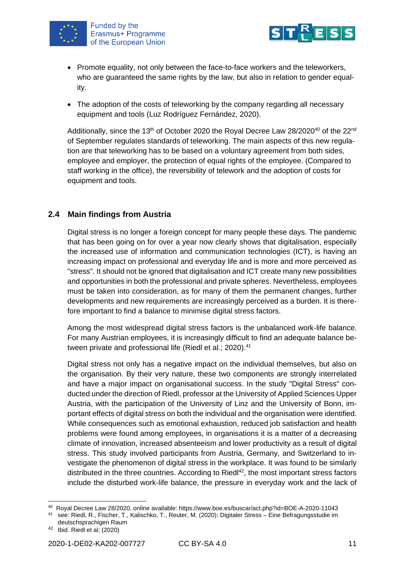



- Promote equality, not only between the face-to-face workers and the teleworkers, who are guaranteed the same rights by the law, but also in relation to gender equality.
- The adoption of the costs of teleworking by the company regarding all necessary equipment and tools (Luz Rodríguez Fernández, 2020).

Additionally, since the 13<sup>th</sup> of October 2020 the Royal Decree Law 28/2020<sup>40</sup> of the 22<sup>nd</sup> of September regulates standards of teleworking. The main aspects of this new regulation are that teleworking has to be based on a voluntary agreement from both sides, employee and employer, the protection of equal rights of the employee. (Compared to staff working in the office), the reversibility of telework and the adoption of costs for equipment and tools.

#### <span id="page-13-0"></span>**2.4 Main findings from Austria**

Digital stress is no longer a foreign concept for many people these days. The pandemic that has been going on for over a year now clearly shows that digitalisation, especially the increased use of information and communication technologies (ICT), is having an increasing impact on professional and everyday life and is more and more perceived as "stress". It should not be ignored that digitalisation and ICT create many new possibilities and opportunities in both the professional and private spheres. Nevertheless, employees must be taken into consideration, as for many of them the permanent changes, further developments and new requirements are increasingly perceived as a burden. It is therefore important to find a balance to minimise digital stress factors.

Among the most widespread digital stress factors is the unbalanced work-life balance. For many Austrian employees, it is increasingly difficult to find an adequate balance between private and professional life (Riedl et al.; 2020).<sup>41</sup>

Digital stress not only has a negative impact on the individual themselves, but also on the organisation. By their very nature, these two components are strongly interrelated and have a major impact on organisational success. In the study "Digital Stress" conducted under the direction of Riedl, professor at the University of Applied Sciences Upper Austria, with the participation of the University of Linz and the University of Bonn, important effects of digital stress on both the individual and the organisation were identified. While consequences such as emotional exhaustion, reduced job satisfaction and health problems were found among employees, in organisations it is a matter of a decreasing climate of innovation, increased absenteeism and lower productivity as a result of digital stress. This study involved participants from Austria, Germany, and Switzerland to investigate the phenomenon of digital stress in the workplace. It was found to be similarly distributed in the three countries. According to Ried $142$ , the most important stress factors include the disturbed work-life balance, the pressure in everyday work and the lack of

<sup>40</sup> Royal Decree Law 28/2020, online available: https://www.boe.es/buscar/act.php?id=BOE-A-2020-11043

<sup>41</sup> see: Riedl, R., Fischer, T., Kalischko, T., Reuter, M. (2020): Digitaler Stress – Eine Befragungsstudie im deutschsprachigen Raum

 $42$  Ibid. Riedl et al; (2020)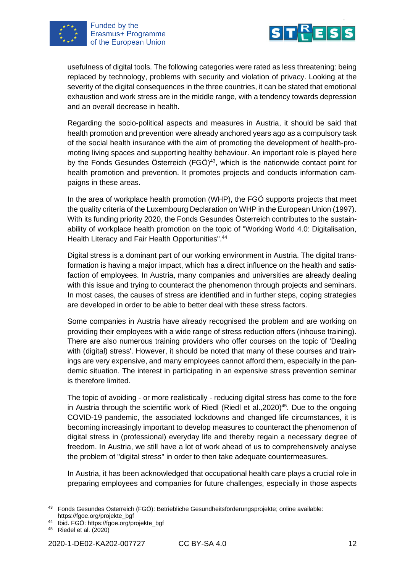



usefulness of digital tools. The following categories were rated as less threatening: being replaced by technology, problems with security and violation of privacy. Looking at the severity of the digital consequences in the three countries, it can be stated that emotional exhaustion and work stress are in the middle range, with a tendency towards depression and an overall decrease in health.

Regarding the socio-political aspects and measures in Austria, it should be said that health promotion and prevention were already anchored years ago as a compulsory task of the social health insurance with the aim of promoting the development of health-promoting living spaces and supporting healthy behaviour. An important role is played here by the Fonds Gesundes Österreich (FGÖ) $43$ , which is the nationwide contact point for health promotion and prevention. It promotes projects and conducts information campaigns in these areas.

In the area of workplace health promotion (WHP), the FGÖ supports projects that meet the quality criteria of the Luxembourg Declaration on WHP in the European Union (1997). With its funding priority 2020, the Fonds Gesundes Österreich contributes to the sustainability of workplace health promotion on the topic of "Working World 4.0: Digitalisation, Health Literacy and Fair Health Opportunities".<sup>44</sup>

Digital stress is a dominant part of our working environment in Austria. The digital transformation is having a major impact, which has a direct influence on the health and satisfaction of employees. In Austria, many companies and universities are already dealing with this issue and trying to counteract the phenomenon through projects and seminars. In most cases, the causes of stress are identified and in further steps, coping strategies are developed in order to be able to better deal with these stress factors.

Some companies in Austria have already recognised the problem and are working on providing their employees with a wide range of stress reduction offers (inhouse training). There are also numerous training providers who offer courses on the topic of 'Dealing with (digital) stress'. However, it should be noted that many of these courses and trainings are very expensive, and many employees cannot afford them, especially in the pandemic situation. The interest in participating in an expensive stress prevention seminar is therefore limited.

The topic of avoiding - or more realistically - reducing digital stress has come to the fore in Austria through the scientific work of Riedl (Riedl et al.,  $2020$ )<sup>45</sup>. Due to the ongoing COVID-19 pandemic, the associated lockdowns and changed life circumstances, it is becoming increasingly important to develop measures to counteract the phenomenon of digital stress in (professional) everyday life and thereby regain a necessary degree of freedom. In Austria, we still have a lot of work ahead of us to comprehensively analyse the problem of "digital stress" in order to then take adequate countermeasures.

In Austria, it has been acknowledged that occupational health care plays a crucial role in preparing employees and companies for future challenges, especially in those aspects

<sup>43</sup> Fonds Gesundes Österreich (FGÖ): Betriebliche Gesundheitsförderungsprojekte; online available: https://fgoe.org/projekte\_bgf

<sup>44</sup> Ibid. FGÖ: https://fgoe.org/projekte\_bgf

<sup>45</sup> Riedel et al. (2020)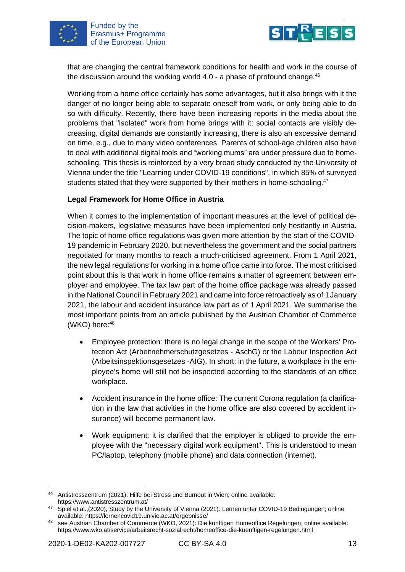



that are changing the central framework conditions for health and work in the course of the discussion around the working world  $4.0$  - a phase of profound change.<sup>46</sup>

Working from a home office certainly has some advantages, but it also brings with it the danger of no longer being able to separate oneself from work, or only being able to do so with difficulty. Recently, there have been increasing reports in the media about the problems that "isolated" work from home brings with it: social contacts are visibly decreasing, digital demands are constantly increasing, there is also an excessive demand on time, e.g., due to many video conferences. Parents of school-age children also have to deal with additional digital tools and "working mums" are under pressure due to homeschooling. This thesis is reinforced by a very broad study conducted by the University of Vienna under the title "Learning under COVID-19 conditions", in which 85% of surveyed students stated that they were supported by their mothers in home-schooling.<sup>47</sup>

#### **Legal Framework for Home Office in Austria**

When it comes to the implementation of important measures at the level of political decision-makers, legislative measures have been implemented only hesitantly in Austria. The topic of home office regulations was given more attention by the start of the COVID-19 pandemic in February 2020, but nevertheless the government and the social partners negotiated for many months to reach a much-criticised agreement. From 1 April 2021, the new legal regulations for working in a home office came into force. The most criticised point about this is that work in home office remains a matter of agreement between employer and employee. The tax law part of the home office package was already passed in the National Council in February 2021 and came into force retroactively as of 1January 2021, the labour and accident insurance law part as of 1 April 2021. We summarise the most important points from an article published by the Austrian Chamber of Commerce (WKO) here: 48

- Employee protection: there is no legal change in the scope of the Workers' Protection Act (Arbeitnehmerschutzgesetzes - AschG) or the Labour Inspection Act (Arbeitsinspektionsgesetzes -AIG). In short: in the future, a workplace in the employee's home will still not be inspected according to the standards of an office workplace.
- Accident insurance in the home office: The current Corona regulation (a clarification in the law that activities in the home office are also covered by accident insurance) will become permanent law.
- Work equipment: it is clarified that the employer is obliged to provide the employee with the "necessary digital work equipment". This is understood to mean PC/laptop, telephony (mobile phone) and data connection (internet).

<sup>46</sup> Antistresszentrum (2021): Hilfe bei Stress und Burnout in Wien; online available: https://www.antistresszentrum.at/

<sup>47</sup> Spiel et al.,(2020), Study by the University of Vienna (2021): Lernen unter COVID-19 Bedingungen; online available: https://lernencovid19.univie.ac.at/ergebnisse/

<sup>48</sup> see Austrian Chamber of Commerce (WKO, 2021): Die künftigen Homeoffice Regelungen; online available: https://www.wko.at/service/arbeitsrecht-sozialrecht/homeoffice-die-kuenftigen-regelungen.html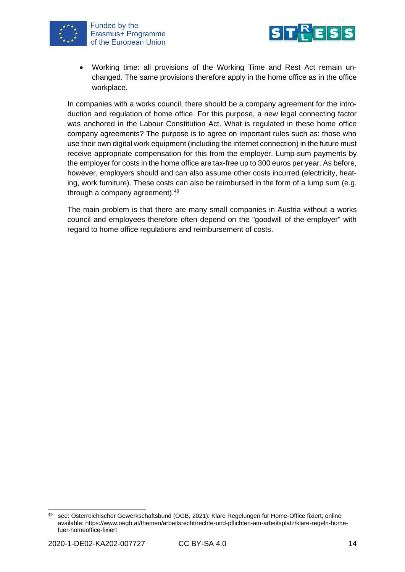



• Working time: all provisions of the Working Time and Rest Act remain unchanged. The same provisions therefore apply in the home office as in the office workplace.

In companies with a works council, there should be a company agreement for the introduction and regulation of home office. For this purpose, a new legal connecting factor was anchored in the Labour Constitution Act. What is regulated in these home office company agreements? The purpose is to agree on important rules such as: those who use their own digital work equipment (including the internet connection) in the future must receive appropriate compensation for this from the employer. Lump-sum payments by the employer for costs in the home office are tax-free up to 300 euros per year. As before, however, employers should and can also assume other costs incurred (electricity, heating, work furniture). These costs can also be reimbursed in the form of a lump sum (e.g. through a company agreement).<sup>49</sup>

The main problem is that there are many small companies in Austria without a works council and employees therefore often depend on the "goodwill of the employer" with regard to home office regulations and reimbursement of costs.

<sup>49</sup> see: Österreichischer Gewerkschaftsbund (ÖGB, 2021): Klare Regelungen für Home-Office fixiert; online available: https://www.oegb.at/themen/arbeitsrecht/rechte-und-pflichten-am-arbeitsplatz/klare-regeln-homefuer-homeoffice-fixiert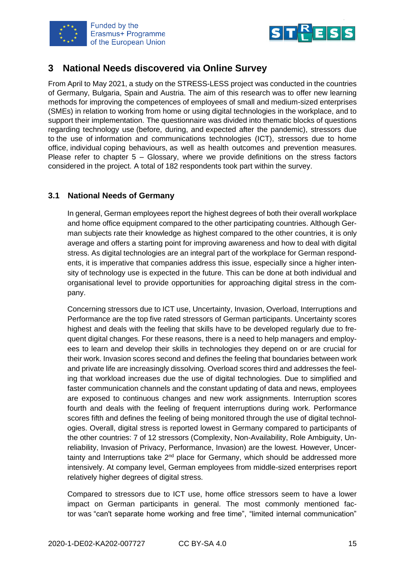



## <span id="page-17-0"></span>**3 National Needs discovered via Online Survey**

From April to May 2021, a study on the STRESS-LESS project was conducted in the countries of Germany, Bulgaria, Spain and Austria. The aim of this research was to offer new learning methods for improving the competences of employees of small and medium-sized enterprises (SMEs) in relation to working from home or using digital technologies in the workplace, and to support their implementation. The questionnaire was divided into thematic blocks of questions regarding technology use (before, during, and expected after the pandemic), stressors due to the use of information and communications technologies (ICT), stressors due to home office, individual coping behaviours, as well as health outcomes and prevention measures. Please refer to chapter  $5 -$  Glossary, where we provide definitions on the stress factors considered in the project. A total of 182 respondents took part within the survey.

#### <span id="page-17-1"></span>**3.1 National Needs of Germany**

In general, German employees report the highest degrees of both their overall workplace and home office equipment compared to the other participating countries. Although German subjects rate their knowledge as highest compared to the other countries, it is only average and offers a starting point for improving awareness and how to deal with digital stress. As digital technologies are an integral part of the workplace for German respondents, it is imperative that companies address this issue, especially since a higher intensity of technology use is expected in the future. This can be done at both individual and organisational level to provide opportunities for approaching digital stress in the company.

Concerning stressors due to ICT use, Uncertainty, Invasion, Overload, Interruptions and Performance are the top five rated stressors of German participants. Uncertainty scores highest and deals with the feeling that skills have to be developed regularly due to frequent digital changes. For these reasons, there is a need to help managers and employees to learn and develop their skills in technologies they depend on or are crucial for their work. Invasion scores second and defines the feeling that boundaries between work and private life are increasingly dissolving. Overload scores third and addresses the feeling that workload increases due the use of digital technologies. Due to simplified and faster communication channels and the constant updating of data and news, employees are exposed to continuous changes and new work assignments. Interruption scores fourth and deals with the feeling of frequent interruptions during work. Performance scores fifth and defines the feeling of being monitored through the use of digital technologies. Overall, digital stress is reported lowest in Germany compared to participants of the other countries: 7 of 12 stressors (Complexity, Non-Availability, Role Ambiguity, Unreliability, Invasion of Privacy, Performance, Invasion) are the lowest. However, Uncertainty and Interruptions take  $2^{nd}$  place for Germany, which should be addressed more intensively. At company level, German employees from middle-sized enterprises report relatively higher degrees of digital stress.

Compared to stressors due to ICT use, home office stressors seem to have a lower impact on German participants in general. The most commonly mentioned factor was "can't separate home working and free time", "limited internal communication"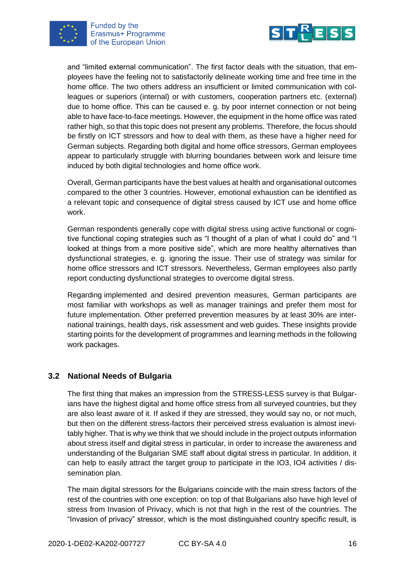



and "limited external communication". The first factor deals with the situation, that employees have the feeling not to satisfactorily delineate working time and free time in the home office. The two others address an insufficient or limited communication with colleagues or superiors (internal) or with customers, cooperation partners etc. (external) due to home office. This can be caused e. g. by poor internet connection or not being able to have face-to-face meetings. However, the equipment in the home office was rated rather high, so that this topic does not present any problems. Therefore, the focus should be firstly on ICT stressors and how to deal with them, as these have a higher need for German subjects. Regarding both digital and home office stressors, German employees appear to particularly struggle with blurring boundaries between work and leisure time induced by both digital technologies and home office work.

Overall, German participants have the best values at health and organisational outcomes compared to the other 3 countries. However, emotional exhaustion can be identified as a relevant topic and consequence of digital stress caused by ICT use and home office work.

German respondents generally cope with digital stress using active functional or cognitive functional coping strategies such as "I thought of a plan of what I could do" and "I looked at things from a more positive side", which are more healthy alternatives than dysfunctional strategies, e. g. ignoring the issue. Their use of strategy was similar for home office stressors and ICT stressors. Nevertheless, German employees also partly report conducting dysfunctional strategies to overcome digital stress.

Regarding implemented and desired prevention measures, German participants are most familiar with workshops as well as manager trainings and prefer them most for future implementation. Other preferred prevention measures by at least 30% are international trainings, health days, risk assessment and web guides. These insights provide starting points for the development of programmes and learning methods in the following work packages.

#### <span id="page-18-0"></span>**3.2 National Needs of Bulgaria**

The first thing that makes an impression from the STRESS-LESS survey is that Bulgarians have the highest digital and home office stress from all surveyed countries, but they are also least aware of it. If asked if they are stressed, they would say no, or not much, but then on the different stress-factors their perceived stress evaluation is almost inevitably higher. That is why we think that we should include in the project outputs information about stress itself and digital stress in particular, in order to increase the awareness and understanding of the Bulgarian SME staff about digital stress in particular. In addition, it can help to easily attract the target group to participate in the IO3, IO4 activities / dissemination plan.

The main digital stressors for the Bulgarians coincide with the main stress factors of the rest of the countries with one exception: on top of that Bulgarians also have high level of stress from Invasion of Privacy, which is not that high in the rest of the countries. The "Invasion of privacy" stressor, which is the most distinguished country specific result, is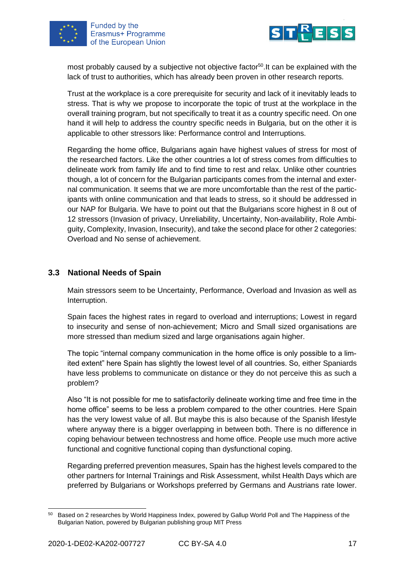



most probably caused by a subjective not objective factor<sup>50</sup>. It can be explained with the lack of trust to authorities, which has already been proven in other research reports.

Trust at the workplace is a core prerequisite for security and lack of it inevitably leads to stress. That is why we propose to incorporate the topic of trust at the workplace in the overall training program, but not specifically to treat it as a country specific need. On one hand it will help to address the country specific needs in Bulgaria, but on the other it is applicable to other stressors like: Performance control and Interruptions.

Regarding the home office, Bulgarians again have highest values of stress for most of the researched factors. Like the other countries a lot of stress comes from difficulties to delineate work from family life and to find time to rest and relax. Unlike other countries though, a lot of concern for the Bulgarian participants comes from the internal and external communication. It seems that we are more uncomfortable than the rest of the participants with online communication and that leads to stress, so it should be addressed in our NAP for Bulgaria. We have to point out that the Bulgarians score highest in 8 out of 12 stressors (Invasion of privacy, Unreliability, Uncertainty, Non-availability, Role Ambiguity, Complexity, Invasion, Insecurity), and take the second place for other 2 categories: Overload and No sense of achievement.

#### <span id="page-19-0"></span>**3.3 National Needs of Spain**

Main stressors seem to be Uncertainty, Performance, Overload and Invasion as well as Interruption.

Spain faces the highest rates in regard to overload and interruptions; Lowest in regard to insecurity and sense of non-achievement; Micro and Small sized organisations are more stressed than medium sized and large organisations again higher.

The topic "internal company communication in the home office is only possible to a limited extent" here Spain has slightly the lowest level of all countries. So, either Spaniards have less problems to communicate on distance or they do not perceive this as such a problem?

Also "It is not possible for me to satisfactorily delineate working time and free time in the home office" seems to be less a problem compared to the other countries. Here Spain has the very lowest value of all. But maybe this is also because of the Spanish lifestyle where anyway there is a bigger overlapping in between both. There is no difference in coping behaviour between technostress and home office. People use much more active functional and cognitive functional coping than dysfunctional coping.

Regarding preferred prevention measures, Spain has the highest levels compared to the other partners for Internal Trainings and Risk Assessment, whilst Health Days which are preferred by Bulgarians or Workshops preferred by Germans and Austrians rate lower.

<sup>50</sup> Based on 2 researches by World Happiness Index, powered by Gallup World Poll and The Happiness of the Bulgarian Nation, powered by Bulgarian publishing group MIT Press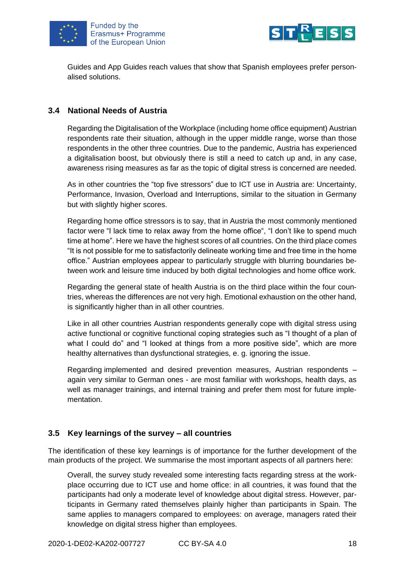



Guides and App Guides reach values that show that Spanish employees prefer personalised solutions.

#### <span id="page-20-0"></span>**3.4 National Needs of Austria**

Regarding the Digitalisation of the Workplace (including home office equipment) Austrian respondents rate their situation, although in the upper middle range, worse than those respondents in the other three countries. Due to the pandemic, Austria has experienced a digitalisation boost, but obviously there is still a need to catch up and, in any case, awareness rising measures as far as the topic of digital stress is concerned are needed.

As in other countries the "top five stressors" due to ICT use in Austria are: Uncertainty, Performance, Invasion, Overload and Interruptions, similar to the situation in Germany but with slightly higher scores.

Regarding home office stressors is to say, that in Austria the most commonly mentioned factor were "I lack time to relax away from the home office", "I don't like to spend much time at home". Here we have the highest scores of all countries. On the third place comes "It is not possible for me to satisfactorily delineate working time and free time in the home office." Austrian employees appear to particularly struggle with blurring boundaries between work and leisure time induced by both digital technologies and home office work.

Regarding the general state of health Austria is on the third place within the four countries, whereas the differences are not very high. Emotional exhaustion on the other hand, is significantly higher than in all other countries.

Like in all other countries Austrian respondents generally cope with digital stress using active functional or cognitive functional coping strategies such as "I thought of a plan of what I could do" and "I looked at things from a more positive side", which are more healthy alternatives than dysfunctional strategies, e. g. ignoring the issue.

Regarding implemented and desired prevention measures, Austrian respondents – again very similar to German ones - are most familiar with workshops, health days, as well as manager trainings, and internal training and prefer them most for future implementation.

#### <span id="page-20-1"></span>**3.5 Key learnings of the survey – all countries**

The identification of these key learnings is of importance for the further development of the main products of the project. We summarise the most important aspects of all partners here:

Overall, the survey study revealed some interesting facts regarding stress at the workplace occurring due to ICT use and home office: in all countries, it was found that the participants had only a moderate level of knowledge about digital stress. However, participants in Germany rated themselves plainly higher than participants in Spain. The same applies to managers compared to employees: on average, managers rated their knowledge on digital stress higher than employees.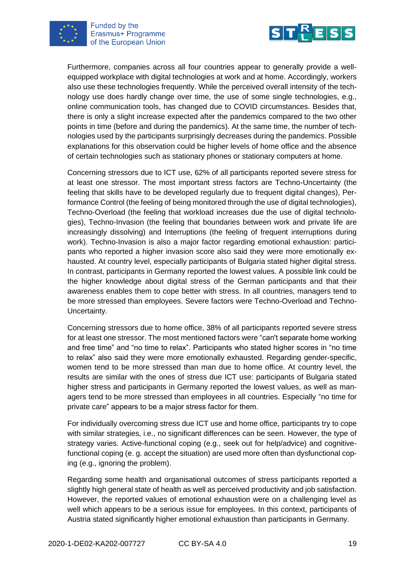



Furthermore, companies across all four countries appear to generally provide a wellequipped workplace with digital technologies at work and at home. Accordingly, workers also use these technologies frequently. While the perceived overall intensity of the technology use does hardly change over time, the use of some single technologies, e.g., online communication tools, has changed due to COVID circumstances. Besides that, there is only a slight increase expected after the pandemics compared to the two other points in time (before and during the pandemics). At the same time, the number of technologies used by the participants surprisingly decreases during the pandemics. Possible explanations for this observation could be higher levels of home office and the absence of certain technologies such as stationary phones or stationary computers at home.

Concerning stressors due to ICT use, 62% of all participants reported severe stress for at least one stressor. The most important stress factors are Techno-Uncertainty (the feeling that skills have to be developed regularly due to frequent digital changes), Performance Control (the feeling of being monitored through the use of digital technologies), Techno-Overload (the feeling that workload increases due the use of digital technologies), Techno-Invasion (the feeling that boundaries between work and private life are increasingly dissolving) and Interruptions (the feeling of frequent interruptions during work). Techno-Invasion is also a major factor regarding emotional exhaustion: participants who reported a higher invasion score also said they were more emotionally exhausted. At country level, especially participants of Bulgaria stated higher digital stress. In contrast, participants in Germany reported the lowest values. A possible link could be the higher knowledge about digital stress of the German participants and that their awareness enables them to cope better with stress. In all countries, managers tend to be more stressed than employees. Severe factors were Techno-Overload and Techno-Uncertainty.

Concerning stressors due to home office, 38% of all participants reported severe stress for at least one stressor. The most mentioned factors were "can't separate home working and free time" and "no time to relax". Participants who stated higher scores in "no time to relax" also said they were more emotionally exhausted. Regarding gender-specific, women tend to be more stressed than man due to home office. At country level, the results are similar with the ones of stress due ICT use: participants of Bulgaria stated higher stress and participants in Germany reported the lowest values, as well as managers tend to be more stressed than employees in all countries. Especially "no time for private care" appears to be a major stress factor for them.

For individually overcoming stress due ICT use and home office, participants try to cope with similar strategies, i.e., no significant differences can be seen. However, the type of strategy varies. Active-functional coping (e.g., seek out for help/advice) and cognitivefunctional coping (e. g. accept the situation) are used more often than dysfunctional coping (e.g., ignoring the problem).

Regarding some health and organisational outcomes of stress participants reported a slightly high general state of health as well as perceived productivity and job satisfaction. However, the reported values of emotional exhaustion were on a challenging level as well which appears to be a serious issue for employees. In this context, participants of Austria stated significantly higher emotional exhaustion than participants in Germany.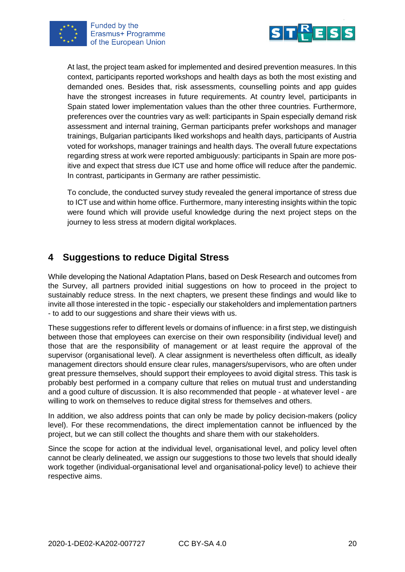



At last, the project team asked for implemented and desired prevention measures. In this context, participants reported workshops and health days as both the most existing and demanded ones. Besides that, risk assessments, counselling points and app guides have the strongest increases in future requirements. At country level, participants in Spain stated lower implementation values than the other three countries. Furthermore, preferences over the countries vary as well: participants in Spain especially demand risk assessment and internal training, German participants prefer workshops and manager trainings, Bulgarian participants liked workshops and health days, participants of Austria voted for workshops, manager trainings and health days. The overall future expectations regarding stress at work were reported ambiguously: participants in Spain are more positive and expect that stress due ICT use and home office will reduce after the pandemic. In contrast, participants in Germany are rather pessimistic.

To conclude, the conducted survey study revealed the general importance of stress due to ICT use and within home office. Furthermore, many interesting insights within the topic were found which will provide useful knowledge during the next project steps on the journey to less stress at modern digital workplaces.

## <span id="page-22-0"></span>**4 Suggestions to reduce Digital Stress**

While developing the National Adaptation Plans, based on Desk Research and outcomes from the Survey, all partners provided initial suggestions on how to proceed in the project to sustainably reduce stress. In the next chapters, we present these findings and would like to invite all those interested in the topic - especially our stakeholders and implementation partners - to add to our suggestions and share their views with us.

These suggestions refer to different levels or domains of influence: in a first step, we distinguish between those that employees can exercise on their own responsibility (individual level) and those that are the responsibility of management or at least require the approval of the supervisor (organisational level). A clear assignment is nevertheless often difficult, as ideally management directors should ensure clear rules, managers/supervisors, who are often under great pressure themselves, should support their employees to avoid digital stress. This task is probably best performed in a company culture that relies on mutual trust and understanding and a good culture of discussion. It is also recommended that people - at whatever level - are willing to work on themselves to reduce digital stress for themselves and others.

In addition, we also address points that can only be made by policy decision-makers (policy level). For these recommendations, the direct implementation cannot be influenced by the project, but we can still collect the thoughts and share them with our stakeholders.

Since the scope for action at the individual level, organisational level, and policy level often cannot be clearly delineated, we assign our suggestions to those two levels that should ideally work together (individual-organisational level and organisational-policy level) to achieve their respective aims.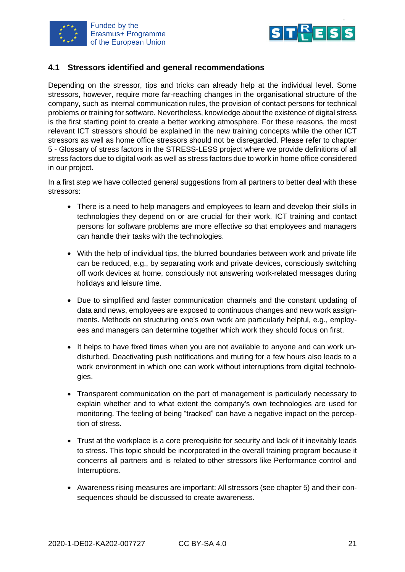



#### <span id="page-23-0"></span>**4.1 Stressors identified and general recommendations**

Depending on the stressor, tips and tricks can already help at the individual level. Some stressors, however, require more far-reaching changes in the organisational structure of the company, such as internal communication rules, the provision of contact persons for technical problems or training for software. Nevertheless, knowledge about the existence of digital stress is the first starting point to create a better working atmosphere. For these reasons, the most relevant ICT stressors should be explained in the new training concepts while the other ICT stressors as well as home office stressors should not be disregarded. Please refer to chapter 5 - Glossary of stress factors in the STRESS-LESS project where we provide definitions of all stress factors due to digital work as well as stress factors due to work in home office considered in our project.

In a first step we have collected general suggestions from all partners to better deal with these stressors:

- There is a need to help managers and employees to learn and develop their skills in technologies they depend on or are crucial for their work. ICT training and contact persons for software problems are more effective so that employees and managers can handle their tasks with the technologies.
- With the help of individual tips, the blurred boundaries between work and private life can be reduced, e.g., by separating work and private devices, consciously switching off work devices at home, consciously not answering work-related messages during holidays and leisure time.
- Due to simplified and faster communication channels and the constant updating of data and news, employees are exposed to continuous changes and new work assignments. Methods on structuring one's own work are particularly helpful, e.g., employees and managers can determine together which work they should focus on first.
- It helps to have fixed times when you are not available to anyone and can work undisturbed. Deactivating push notifications and muting for a few hours also leads to a work environment in which one can work without interruptions from digital technologies.
- Transparent communication on the part of management is particularly necessary to explain whether and to what extent the company's own technologies are used for monitoring. The feeling of being "tracked" can have a negative impact on the perception of stress.
- Trust at the workplace is a core prerequisite for security and lack of it inevitably leads to stress. This topic should be incorporated in the overall training program because it concerns all partners and is related to other stressors like Performance control and Interruptions.
- Awareness rising measures are important: All stressors (see chapter 5) and their consequences should be discussed to create awareness.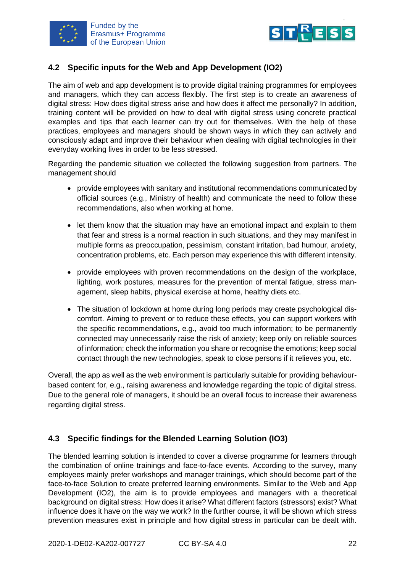



#### <span id="page-24-0"></span>**4.2 Specific inputs for the Web and App Development (IO2)**

The aim of web and app development is to provide digital training programmes for employees and managers, which they can access flexibly. The first step is to create an awareness of digital stress: How does digital stress arise and how does it affect me personally? In addition, training content will be provided on how to deal with digital stress using concrete practical examples and tips that each learner can try out for themselves. With the help of these practices, employees and managers should be shown ways in which they can actively and consciously adapt and improve their behaviour when dealing with digital technologies in their everyday working lives in order to be less stressed.

Regarding the pandemic situation we collected the following suggestion from partners. The management should

- provide employees with sanitary and institutional recommendations communicated by official sources (e.g., Ministry of health) and communicate the need to follow these recommendations, also when working at home.
- let them know that the situation may have an emotional impact and explain to them that fear and stress is a normal reaction in such situations, and they may manifest in multiple forms as preoccupation, pessimism, constant irritation, bad humour, anxiety, concentration problems, etc. Each person may experience this with different intensity.
- provide employees with proven recommendations on the design of the workplace, lighting, work postures, measures for the prevention of mental fatigue, stress management, sleep habits, physical exercise at home, healthy diets etc.
- The situation of lockdown at home during long periods may create psychological discomfort. Aiming to prevent or to reduce these effects, you can support workers with the specific recommendations, e.g., avoid too much information; to be permanently connected may unnecessarily raise the risk of anxiety; keep only on reliable sources of information; check the information you share or recognise the emotions; keep social contact through the new technologies, speak to close persons if it relieves you, etc.

Overall, the app as well as the web environment is particularly suitable for providing behaviourbased content for, e.g., raising awareness and knowledge regarding the topic of digital stress. Due to the general role of managers, it should be an overall focus to increase their awareness regarding digital stress.

#### <span id="page-24-1"></span>**4.3 Specific findings for the Blended Learning Solution (IO3)**

The blended learning solution is intended to cover a diverse programme for learners through the combination of online trainings and face-to-face events. According to the survey, many employees mainly prefer workshops and manager trainings, which should become part of the face-to-face Solution to create preferred learning environments. Similar to the Web and App Development (IO2), the aim is to provide employees and managers with a theoretical background on digital stress: How does it arise? What different factors (stressors) exist? What influence does it have on the way we work? In the further course, it will be shown which stress prevention measures exist in principle and how digital stress in particular can be dealt with.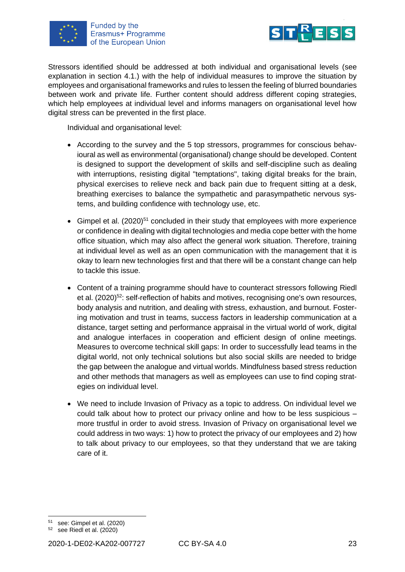



Stressors identified should be addressed at both individual and organisational levels (see explanation in section 4.1.) with the help of individual measures to improve the situation by employees and organisational frameworks and rules to lessen the feeling of blurred boundaries between work and private life. Further content should address different coping strategies, which help employees at individual level and informs managers on organisational level how digital stress can be prevented in the first place.

Individual and organisational level:

- According to the survey and the 5 top stressors, programmes for conscious behavioural as well as environmental (organisational) change should be developed. Content is designed to support the development of skills and self-discipline such as dealing with interruptions, resisting digital "temptations", taking digital breaks for the brain, physical exercises to relieve neck and back pain due to frequent sitting at a desk, breathing exercises to balance the sympathetic and parasympathetic nervous systems, and building confidence with technology use, etc.
- Gimpel et al.  $(2020)^{51}$  concluded in their study that employees with more experience or confidence in dealing with digital technologies and media cope better with the home office situation, which may also affect the general work situation. Therefore, training at individual level as well as an open communication with the management that it is okay to learn new technologies first and that there will be a constant change can help to tackle this issue.
- Content of a training programme should have to counteract stressors following Riedl et al. (2020)<sup>52</sup>: self-reflection of habits and motives, recognising one's own resources, body analysis and nutrition, and dealing with stress, exhaustion, and burnout. Fostering motivation and trust in teams, success factors in leadership communication at a distance, target setting and performance appraisal in the virtual world of work, digital and analogue interfaces in cooperation and efficient design of online meetings. Measures to overcome technical skill gaps: In order to successfully lead teams in the digital world, not only technical solutions but also social skills are needed to bridge the gap between the analogue and virtual worlds. Mindfulness based stress reduction and other methods that managers as well as employees can use to find coping strategies on individual level.
- We need to include Invasion of Privacy as a topic to address. On individual level we could talk about how to protect our privacy online and how to be less suspicious – more trustful in order to avoid stress. Invasion of Privacy on organisational level we could address in two ways: 1) how to protect the privacy of our employees and 2) how to talk about privacy to our employees, so that they understand that we are taking care of it.

see: Gimpel et al. (2020)

<sup>52</sup> see Riedl et al. (2020)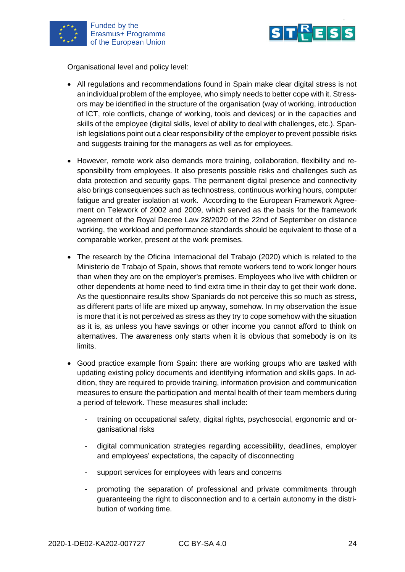

Funded by the Erasmus+ Programme of the European Union



Organisational level and policy level:

- All regulations and recommendations found in Spain make clear digital stress is not an individual problem of the employee, who simply needs to better cope with it. Stressors may be identified in the structure of the organisation (way of working, introduction of ICT, role conflicts, change of working, tools and devices) or in the capacities and skills of the employee (digital skills, level of ability to deal with challenges, etc.). Spanish legislations point out a clear responsibility of the employer to prevent possible risks and suggests training for the managers as well as for employees.
- However, remote work also demands more training, collaboration, flexibility and responsibility from employees. It also presents possible risks and challenges such as data protection and security gaps. The permanent digital presence and connectivity also brings consequences such as technostress, continuous working hours, computer fatigue and greater isolation at work. According to the European Framework Agreement on Telework of 2002 and 2009, which served as the basis for the framework agreement of the Royal Decree Law 28/2020 of the 22nd of September on distance working, the workload and performance standards should be equivalent to those of a comparable worker, present at the work premises.
- The research by the Oficina Internacional del Trabajo (2020) which is related to the Ministerio de Trabajo of Spain, shows that remote workers tend to work longer hours than when they are on the employer's premises. Employees who live with children or other dependents at home need to find extra time in their day to get their work done. As the questionnaire results show Spaniards do not perceive this so much as stress, as different parts of life are mixed up anyway, somehow. In my observation the issue is more that it is not perceived as stress as they try to cope somehow with the situation as it is, as unless you have savings or other income you cannot afford to think on alternatives. The awareness only starts when it is obvious that somebody is on its limits.
- Good practice example from Spain: there are working groups who are tasked with updating existing policy documents and identifying information and skills gaps. In addition, they are required to provide training, information provision and communication measures to ensure the participation and mental health of their team members during a period of telework. These measures shall include:
	- training on occupational safety, digital rights, psychosocial, ergonomic and organisational risks
	- digital communication strategies regarding accessibility, deadlines, employer and employees' expectations, the capacity of disconnecting
	- support services for employees with fears and concerns
	- promoting the separation of professional and private commitments through guaranteeing the right to disconnection and to a certain autonomy in the distribution of working time.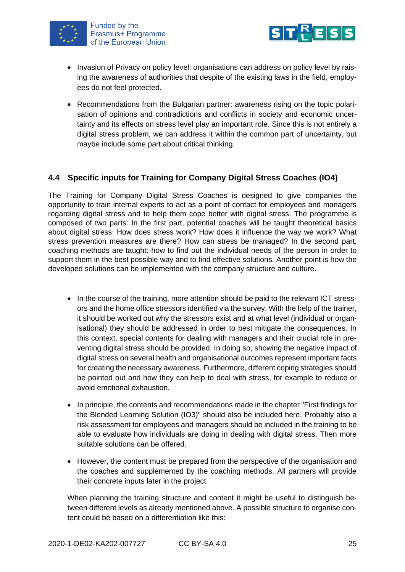



- Invasion of Privacy on policy level: organisations can address on policy level by raising the awareness of authorities that despite of the existing laws in the field, employees do not feel protected.
- Recommendations from the Bulgarian partner: awareness rising on the topic polarisation of opinions and contradictions and conflicts in society and economic uncertainty and its effects on stress level play an important role. Since this is not entirely a digital stress problem, we can address it within the common part of uncertainty, but maybe include some part about critical thinking.

#### <span id="page-27-0"></span>**4.4 Specific inputs for Training for Company Digital Stress Coaches (IO4)**

The Training for Company Digital Stress Coaches is designed to give companies the opportunity to train internal experts to act as a point of contact for employees and managers regarding digital stress and to help them cope better with digital stress. The programme is composed of two parts: In the first part, potential coaches will be taught theoretical basics about digital stress: How does stress work? How does it influence the way we work? What stress prevention measures are there? How can stress be managed? In the second part, coaching methods are taught: how to find out the individual needs of the person in order to support them in the best possible way and to find effective solutions. Another point is how the developed solutions can be implemented with the company structure and culture.

- In the course of the training, more attention should be paid to the relevant ICT stressors and the home office stressors identified via the survey. With the help of the trainer, it should be worked out why the stressors exist and at what level (individual or organisational) they should be addressed in order to best mitigate the consequences. In this context, special contents for dealing with managers and their crucial role in preventing digital stress should be provided. In doing so, showing the negative impact of digital stress on several health and organisational outcomes represent important facts for creating the necessary awareness. Furthermore, different coping strategies should be pointed out and how they can help to deal with stress, for example to reduce or avoid emotional exhaustion.
- In principle, the contents and recommendations made in the chapter "First findings for the Blended Learning Solution (IO3)" should also be included here. Probably also a risk assessment for employees and managers should be included in the training to be able to evaluate how individuals are doing in dealing with digital stress. Then more suitable solutions can be offered.
- However, the content must be prepared from the perspective of the organisation and the coaches and supplemented by the coaching methods. All partners will provide their concrete inputs later in the project.

When planning the training structure and content it might be useful to distinguish between different levels as already mentioned above. A possible structure to organise content could be based on a differentiation like this: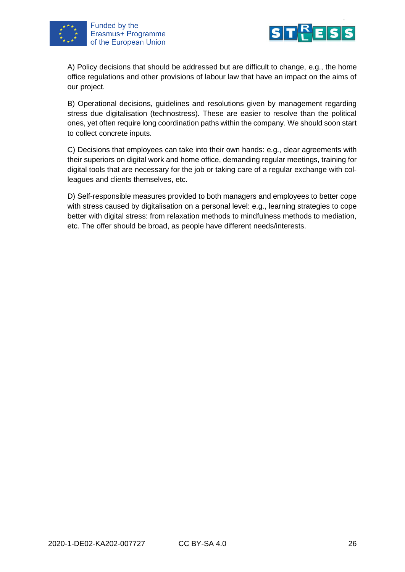



A) Policy decisions that should be addressed but are difficult to change, e.g., the home office regulations and other provisions of labour law that have an impact on the aims of our project.

B) Operational decisions, guidelines and resolutions given by management regarding stress due digitalisation (technostress). These are easier to resolve than the political ones, yet often require long coordination paths within the company. We should soon start to collect concrete inputs.

C) Decisions that employees can take into their own hands: e.g., clear agreements with their superiors on digital work and home office, demanding regular meetings, training for digital tools that are necessary for the job or taking care of a regular exchange with colleagues and clients themselves, etc.

D) Self-responsible measures provided to both managers and employees to better cope with stress caused by digitalisation on a personal level: e.g., learning strategies to cope better with digital stress: from relaxation methods to mindfulness methods to mediation, etc. The offer should be broad, as people have different needs/interests.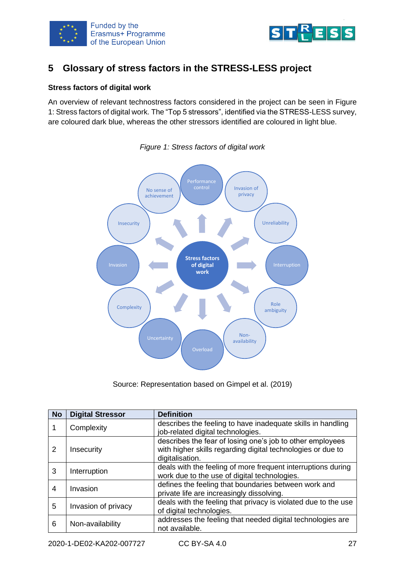



## <span id="page-29-0"></span>**5 Glossary of stress factors in the STRESS-LESS project**

#### **Stress factors of digital work**

An overview of relevant technostress factors considered in the project can be seen in Figure 1: Stress factors of digital work. The "Top 5 stressors", identified via the STRESS-LESS survey, are coloured dark blue, whereas the other stressors identified are coloured in light blue.



*Figure 1: Stress factors of digital work*

Source: Representation based on Gimpel et al. (2019)

| <b>No</b> | <b>Digital Stressor</b> | <b>Definition</b>                                                                                                                           |
|-----------|-------------------------|---------------------------------------------------------------------------------------------------------------------------------------------|
|           | Complexity              | describes the feeling to have inadequate skills in handling<br>job-related digital technologies.                                            |
| 2         | Insecurity              | describes the fear of losing one's job to other employees<br>with higher skills regarding digital technologies or due to<br>digitalisation. |
| 3         | Interruption            | deals with the feeling of more frequent interruptions during<br>work due to the use of digital technologies.                                |
| 4         | Invasion                | defines the feeling that boundaries between work and<br>private life are increasingly dissolving.                                           |
| 5         | Invasion of privacy     | deals with the feeling that privacy is violated due to the use<br>of digital technologies.                                                  |
| 6         | Non-availability        | addresses the feeling that needed digital technologies are<br>not available.                                                                |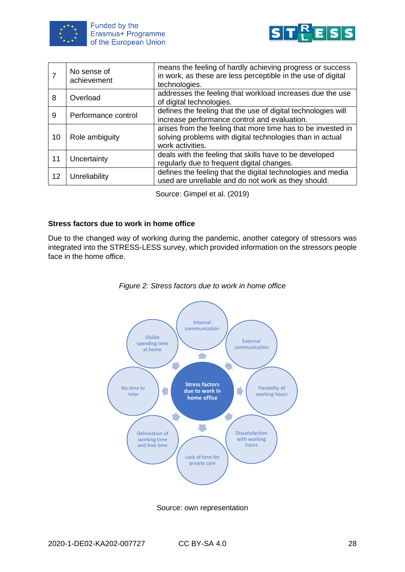



|    | No sense of<br>achievement | means the feeling of hardly achieving progress or success<br>in work, as these are less perceptible in the use of digital<br>technologies.    |
|----|----------------------------|-----------------------------------------------------------------------------------------------------------------------------------------------|
| 8  | Overload                   | addresses the feeling that workload increases due the use<br>of digital technologies.                                                         |
| 9  | Performance control        | defines the feeling that the use of digital technologies will<br>increase performance control and evaluation.                                 |
| 10 | Role ambiguity             | arises from the feeling that more time has to be invested in<br>solving problems with digital technologies than in actual<br>work activities. |
| 11 | Uncertainty                | deals with the feeling that skills have to be developed<br>regularly due to frequent digital changes.                                         |
| 12 | Unreliability              | defines the feeling that the digital technologies and media<br>used are unreliable and do not work as they should.                            |

Source: Gimpel et al. (2019)

#### **Stress factors due to work in home office**

Due to the changed way of working during the pandemic, another category of stressors was integrated into the STRESS-LESS survey, which provided information on the stressors people face in the home office.



#### *Figure 2: Stress factors due to work in home office*

Source: own representation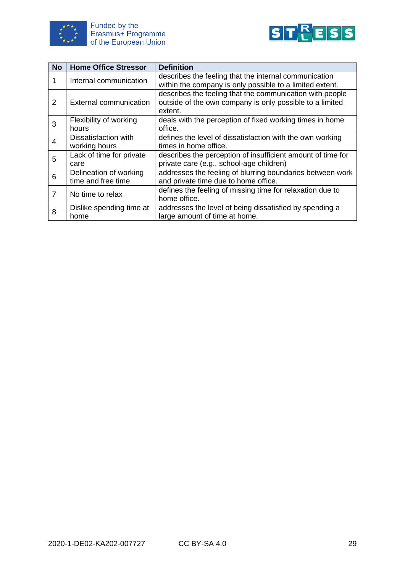



| <b>No</b> | <b>Home Office Stressor</b>     | <b>Definition</b>                                                                                                               |
|-----------|---------------------------------|---------------------------------------------------------------------------------------------------------------------------------|
| 1         | Internal communication          | describes the feeling that the internal communication                                                                           |
|           |                                 | within the company is only possible to a limited extent.                                                                        |
| 2         | <b>External communication</b>   | describes the feeling that the communication with people<br>outside of the own company is only possible to a limited<br>extent. |
| 3         | Flexibility of working<br>hours | deals with the perception of fixed working times in home<br>office.                                                             |
| 4         | Dissatisfaction with            | defines the level of dissatisfaction with the own working                                                                       |
|           | working hours                   | times in home office.                                                                                                           |
| 5         | Lack of time for private        | describes the perception of insufficient amount of time for                                                                     |
|           | care                            | private care (e.g., school-age children)                                                                                        |
| 6         | Delineation of working          | addresses the feeling of blurring boundaries between work                                                                       |
|           | time and free time              | and private time due to home office.                                                                                            |
| 7         | No time to relax                | defines the feeling of missing time for relaxation due to                                                                       |
|           |                                 | home office.                                                                                                                    |
| 8         | Dislike spending time at        | addresses the level of being dissatisfied by spending a                                                                         |
|           | home                            | large amount of time at home.                                                                                                   |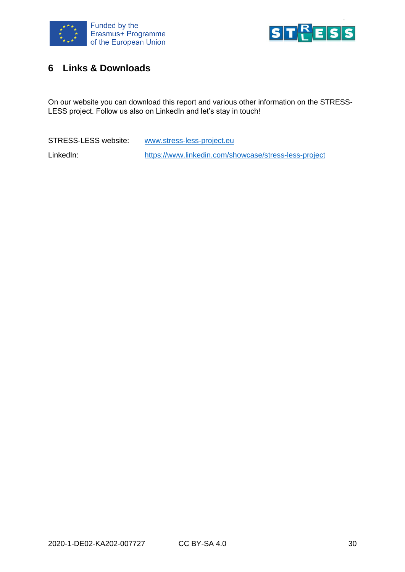



## <span id="page-32-0"></span>**6 Links & Downloads**

On our website you can download this report and various other information on the STRESS-LESS project. Follow us also on LinkedIn and let's stay in touch!

STRESS-LESS website: [www.stress-less-project.eu](http://www.stress-less-project.eu/) LinkedIn: <https://www.linkedin.com/showcase/stress-less-project>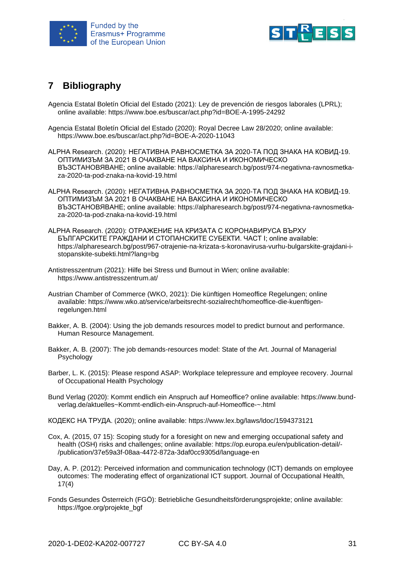



## <span id="page-33-0"></span>**7 Bibliography**

- Agencia Estatal Boletín Oficial del Estado (2021): Ley de prevención de riesgos laborales (LPRL); online available: https://www.boe.es/buscar/act.php?id=BOE-A-1995-24292
- Agencia Estatal Boletín Oficial del Estado (2020): Royal Decree Law 28/2020; online available: https://www.boe.es/buscar/act.php?id=BOE-A-2020-11043
- ALPHA Research. (2020): НЕГАТИВНА РАВНОСМЕТКА ЗА 2020-ТА ПОД ЗНАКА НА КОВИД-19. ОПТИМИЗЪМ ЗА 2021 В ОЧАКВАНЕ НА ВАКСИНА И ИКОНОМИЧЕСКО ВЪЗСТАНОВЯВАНЕ; online available: https://alpharesearch.bg/post/974-negativna-ravnosmetkaza-2020-ta-pod-znaka-na-kovid-19.html
- ALPHA Research. (2020): НЕГАТИВНА РАВНОСМЕТКА ЗА 2020-ТА ПОД ЗНАКА НА КОВИД-19. ОПТИМИЗЪМ ЗА 2021 В ОЧАКВАНЕ НА ВАКСИНА И ИКОНОМИЧЕСКО ВЪЗСТАНОВЯВАНЕ; online available: https://alpharesearch.bg/post/974-negativna-ravnosmetkaza-2020-ta-pod-znaka-na-kovid-19.html
- ALPHA Research. (2020): ОТРАЖЕНИЕ НА КРИЗАТА С КОРОНАВИРУСА ВЪРХУ БЪЛГАРСКИТЕ ГРАЖДАНИ И СТОПАНСКИТЕ СУБЕКТИ. ЧАСТ I; online available: https://alpharesearch.bg/post/967-otrajenie-na-krizata-s-koronavirusa-vurhu-bulgarskite-grajdani-istopanskite-subekti.html?lang=bg
- Antistresszentrum (2021): Hilfe bei Stress und Burnout in Wien; online available: https://www.antistresszentrum.at/
- Austrian Chamber of Commerce (WKO, 2021): Die künftigen Homeoffice Regelungen; online available: https://www.wko.at/service/arbeitsrecht-sozialrecht/homeoffice-die-kuenftigenregelungen.html
- Bakker, A. B. (2004): Using the job demands resources model to predict burnout and performance. Human Resource Management.
- Bakker, A. B. (2007): The job demands-resources model: State of the Art. Journal of Managerial Psychology
- Barber, L. K. (2015): Please respond ASAP: Workplace telepressure and employee recovery. Journal of Occupational Health Psychology
- Bund Verlag (2020): Kommt endlich ein Anspruch auf Homeoffice? online available: https://www.bundverlag.de/aktuelles~Kommt-endlich-ein-Anspruch-auf-Homeoffice-~.html
- КОДЕКС НА ТРУДА. (2020); online available: https://www.lex.bg/laws/ldoc/1594373121
- Cox, A. (2015, 07 15): Scoping study for a foresight on new and emerging occupational safety and health (OSH) risks and challenges; online available: https://op.europa.eu/en/publication-detail/- /publication/37e59a3f-08aa-4472-872a-3daf0cc9305d/language-en
- Day, A. P. (2012): Perceived information and communication technology (ICT) demands on employee outcomes: The moderating effect of organizational ICT support. Journal of Occupational Health, 17(4)
- Fonds Gesundes Österreich (FGÖ): Betriebliche Gesundheitsförderungsprojekte; online available: https://fgoe.org/projekte\_bgf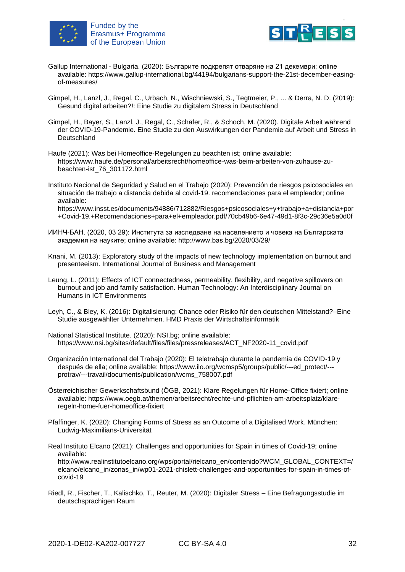



- Gallup International Bulgaria. (2020): Българите подкрепят отваряне на 21 декември; online available: https://www.gallup-international.bg/44194/bulgarians-support-the-21st-december-easingof-measures/
- Gimpel, H., Lanzl, J., Regal, C., Urbach, N., Wischniewski, S., Tegtmeier, P., ... & Derra, N. D. (2019): Gesund digital arbeiten?!: Eine Studie zu digitalem Stress in Deutschland
- Gimpel, H., Bayer, S., Lanzl, J., Regal, C., Schäfer, R., & Schoch, M. (2020). Digitale Arbeit während der COVID-19-Pandemie. Eine Studie zu den Auswirkungen der Pandemie auf Arbeit und Stress in **Deutschland**

Haufe (2021): Was bei Homeoffice-Regelungen zu beachten ist; online available: https://www.haufe.de/personal/arbeitsrecht/homeoffice-was-beim-arbeiten-von-zuhause-zubeachten-ist\_76\_301172.html

Instituto Nacional de Seguridad y Salud en el Trabajo (2020): Prevención de riesgos psicosociales en situación de trabajo a distancia debida al covid-19. recomendaciones para el empleador; online available: https://www.insst.es/documents/94886/712882/Riesgos+psicosociales+y+trabajo+a+distancia+por +Covid-19.+Recomendaciones+para+el+empleador.pdf/70cb49b6-6e47-49d1-8f3c-29c36e5a0d0f

ИИНЧ-БАН. (2020, 03 29): Института за изследване на населението и човека на Българската академия на науките; online available: http://www.bas.bg/2020/03/29/

Knani, M. (2013): Exploratory study of the impacts of new technology implementation on burnout and presenteeism. International Journal of Business and Management

- Leung, L. (2011): Effects of ICT connectedness, permeability, flexibility, and negative spillovers on burnout and job and family satisfaction. Human Technology: An Interdisciplinary Journal on Humans in ICT Environments
- Leyh, C., & Bley, K. (2016): Digitalisierung: Chance oder Risiko für den deutschen Mittelstand?–Eine Studie ausgewählter Unternehmen. HMD Praxis der Wirtschaftsinformatik
- National Statistical Institute. (2020): NSI.bg; online available: https://www.nsi.bg/sites/default/files/files/pressreleases/ACT\_NF2020-11\_covid.pdf
- Organización International del Trabajo (2020): El teletrabajo durante la pandemia de COVID-19 y después de ella; online available: https://www.ilo.org/wcmsp5/groups/public/---ed\_protect/-- protrav/---travail/documents/publication/wcms\_758007.pdf
- Österreichischer Gewerkschaftsbund (ÖGB, 2021): Klare Regelungen für Home-Office fixiert; online available: https://www.oegb.at/themen/arbeitsrecht/rechte-und-pflichten-am-arbeitsplatz/klareregeln-home-fuer-homeoffice-fixiert
- Pfaffinger, K. (2020): Changing Forms of Stress as an Outcome of a Digitalised Work. München: Ludwig-Maximilians-Universität
- Real Instituto Elcano (2021): Challenges and opportunities for Spain in times of Covid-19; online available:

http://www.realinstitutoelcano.org/wps/portal/rielcano\_en/contenido?WCM\_GLOBAL\_CONTEXT=/ elcano/elcano\_in/zonas\_in/wp01-2021-chislett-challenges-and-opportunities-for-spain-in-times-ofcovid-19

Riedl, R., Fischer, T., Kalischko, T., Reuter, M. (2020): Digitaler Stress – Eine Befragungsstudie im deutschsprachigen Raum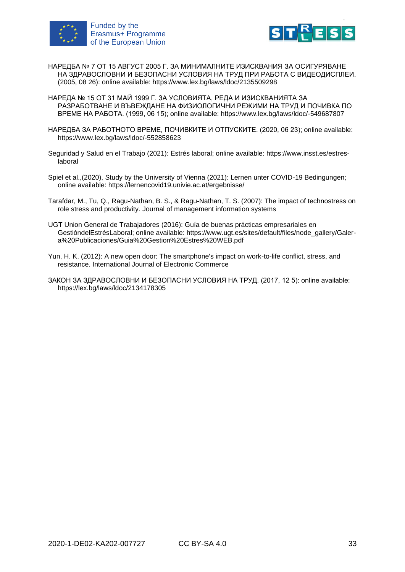



- НАРЕДБА № 7 ОТ 15 АВГУСТ 2005 Г. ЗА МИНИМАЛНИТЕ ИЗИСКВАНИЯ ЗА ОСИГУРЯВАНЕ НА ЗДРАВОСЛОВНИ И БЕЗОПАСНИ УСЛОВИЯ НА ТРУД ПРИ РАБОТА С ВИДЕОДИСПЛЕИ. (2005, 08 26): online available: https://www.lex.bg/laws/ldoc/2135509298
- НАРЕДА № 15 ОТ 31 МАЙ 1999 Г. ЗА УСЛОВИЯТА, РЕДА И ИЗИСКВАНИЯТА ЗА РАЗРАБОТВАНЕ И ВЪВЕЖДАНЕ НА ФИЗИОЛОГИЧНИ РЕЖИМИ НА ТРУД И ПОЧИВКА ПО ВРЕМЕ НА РАБОТА. (1999, 06 15); online available: https://www.lex.bg/laws/ldoc/-549687807
- НАРЕДБА ЗА РАБОТНОТО ВРЕМЕ, ПОЧИВКИТЕ И ОТПУСКИТЕ. (2020, 06 23); online available: https://www.lex.bg/laws/ldoc/-552858623
- Seguridad y Salud en el Trabajo (2021): Estrés laboral; online available: https://www.insst.es/estreslaboral
- Spiel et al.,(2020), Study by the University of Vienna (2021): Lernen unter COVID-19 Bedingungen; online available:<https://lernencovid19.univie.ac.at/ergebnisse/>
- Tarafdar, M., Tu, Q., Ragu-Nathan, B. S., & Ragu-Nathan, T. S. (2007): The impact of technostress on role stress and productivity. Journal of management information systems
- UGT Union General de Trabajadores (2016): Guía de buenas prácticas empresariales en GestióndelEstrésLaboral; online available: https://www.ugt.es/sites/default/files/node\_gallery/Galera%20Publicaciones/Guia%20Gestion%20Estres%20WEB.pdf
- Yun, H. K. (2012): A new open door: The smartphone's impact on work-to-life conflict, stress, and resistance. International Journal of Electronic Commerce
- ЗАКОН ЗА ЗДРАВОСЛОВНИ И БЕЗОПАСНИ УСЛОВИЯ НА ТРУД. (2017, 12 5): online available: <https://lex.bg/laws/ldoc/2134178305>